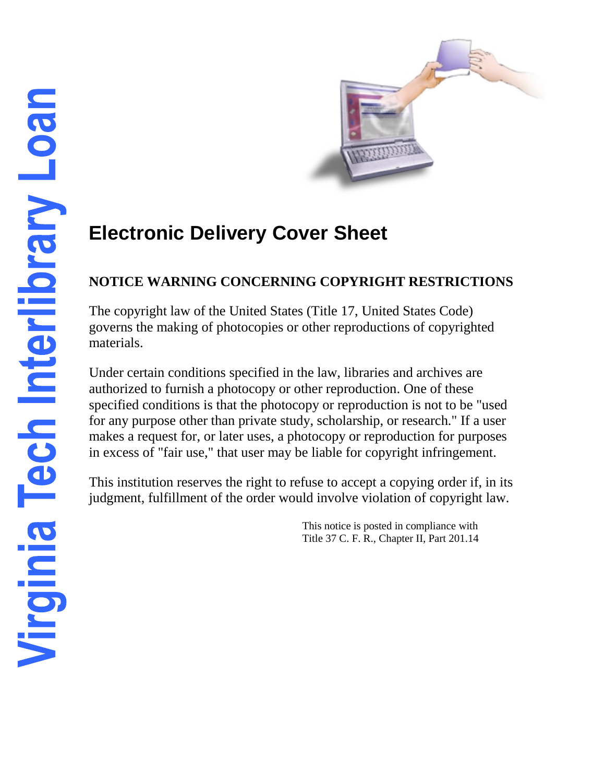

# **Electronic Delivery Cover Sheet**

# **NOTICE WARNING CONCERNING COPYRIGHT RESTRICTIONS**

The copyright law of the United States (Title 17, United States Code) governs the making of photocopies or other reproductions of copyrighted materials.

Under certain conditions specified in the law, libraries and archives are authorized to furnish a photocopy or other reproduction. One of these specified conditions is that the photocopy or reproduction is not to be "used for any purpose other than private study, scholarship, or research." If a user makes a request for, or later uses, a photocopy or reproduction for purposes in excess of "fair use," that user may be liable for copyright infringement.

This institution reserves the right to refuse to accept a copying order if, in its judgment, fulfillment of the order would involve violation of copyright law.

> This notice is posted in compliance with Title 37 C. F. R., Chapter II, Part 201.14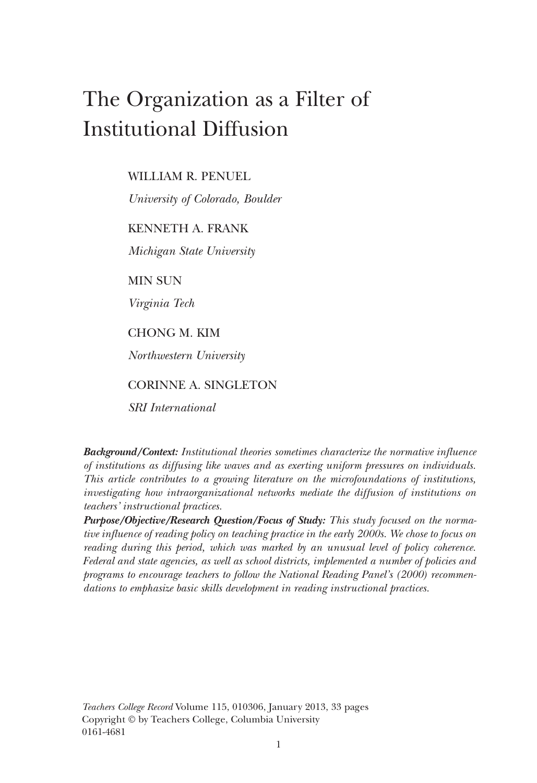# The Organization as a Filter of Institutional Diffusion

WILLIAM R. PENUEL

*University of Colorado, Boulder*

KENNETH A. FRANK

*Michigan State University*

MIN SUN

*Virginia Tech*

CHONG M. KIM

*Northwestern University*

CORINNE A. SINGLETON

*SRI International*

*Background/Context: Institutional theories sometimes characterize the normative influence of institutions as diffusing like waves and as exerting uniform pressures on individuals. This article contributes to a growing literature on the microfoundations of institutions, investigating how intraorganizational networks mediate the diffusion of institutions on teachers' instructional practices.*

*Purpose/Objective/Research Question/Focus of Study: This study focused on the normative influence of reading policy on teaching practice in the early 2000s. We chose to focus on reading during this period, which was marked by an unusual level of policy coherence. Federal and state agencies, as well as school districts, implemented a number of policies and programs to encourage teachers to follow the National Reading Panel's (2000) recommendations to emphasize basic skills development in reading instructional practices.*

*Teachers College Record* Volume 115, 010306, January 2013, 33 pages Copyright © by Teachers College, Columbia University 0161-4681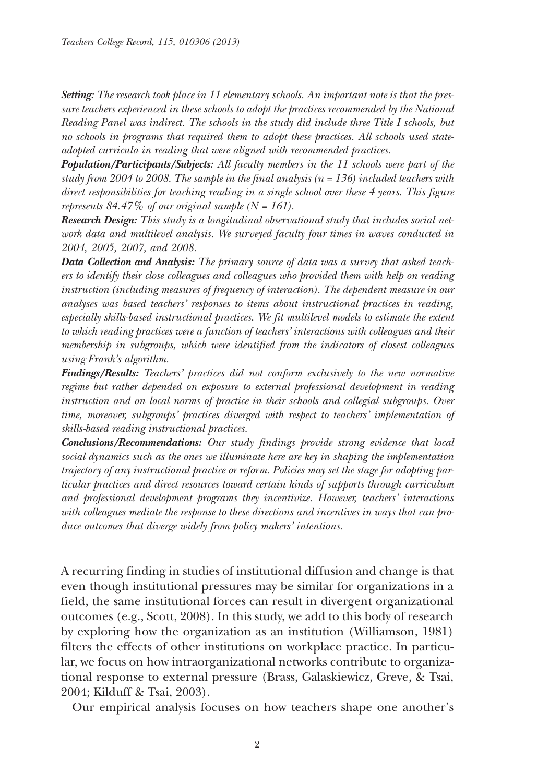*Setting: The research took place in 11 elementary schools. An important note is that the pressure teachers experienced in these schools to adopt the practices recommended by the National Reading Panel was indirect. The schools in the study did include three Title I schools, but no schools in programs that required them to adopt these practices. All schools used stateadopted curricula in reading that were aligned with recommended practices.*

*Population/Participants/Subjects: All faculty members in the 11 schools were part of the study from 2004 to 2008. The sample in the final analysis (n = 136) included teachers with direct responsibilities for teaching reading in a single school over these 4 years. This figure represents*  $84.47\%$  *of our original sample*  $(N = 161)$ .

*Research Design: This study is a longitudinal observational study that includes social network data and multilevel analysis. We surveyed faculty four times in waves conducted in 2004, 2005, 2007, and 2008.*

*Data Collection and Analysis: The primary source of data was a survey that asked teachers to identify their close colleagues and colleagues who provided them with help on reading instruction (including measures of frequency of interaction). The dependent measure in our analyses was based teachers' responses to items about instructional practices in reading, especially skills-based instructional practices. We fit multilevel models to estimate the extent to which reading practices were a function of teachers' interactions with colleagues and their membership in subgroups, which were identified from the indicators of closest colleagues using Frank's algorithm.*

*Findings/Results: Teachers' practices did not conform exclusively to the new normative regime but rather depended on exposure to external professional development in reading instruction and on local norms of practice in their schools and collegial subgroups. Over time, moreover, subgroups' practices diverged with respect to teachers' implementation of skills-based reading instructional practices.*

*Conclusions/Recommendations: Our study findings provide strong evidence that local social dynamics such as the ones we illuminate here are key in shaping the implementation trajectory of any instructional practice or reform. Policies may set the stage for adopting particular practices and direct resources toward certain kinds of supports through curriculum and professional development programs they incentivize. However, teachers' interactions with colleagues mediate the response to these directions and incentives in ways that can produce outcomes that diverge widely from policy makers' intentions.*

A recurring finding in studies of institutional diffusion and change is that even though institutional pressures may be similar for organizations in a field, the same institutional forces can result in divergent organizational outcomes (e.g., Scott, 2008). In this study, we add to this body of research by exploring how the organization as an institution (Williamson, 1981) filters the effects of other institutions on workplace practice. In particular, we focus on how intraorganizational networks contribute to organizational response to external pressure (Brass, Galaskiewicz, Greve, & Tsai, 2004; Kilduff & Tsai, 2003).

Our empirical analysis focuses on how teachers shape one another's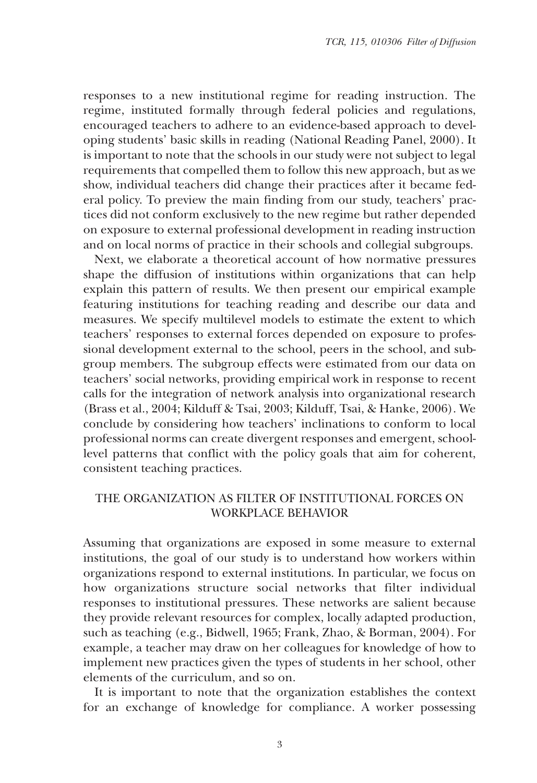responses to a new institutional regime for reading instruction. The regime, instituted formally through federal policies and regulations, encouraged teachers to adhere to an evidence-based approach to developing students' basic skills in reading (National Reading Panel, 2000). It is important to note that the schools in our study were not subject to legal requirements that compelled them to follow this new approach, but as we show, individual teachers did change their practices after it became federal policy. To preview the main finding from our study, teachers' practices did not conform exclusively to the new regime but rather depended on exposure to external professional development in reading instruction and on local norms of practice in their schools and collegial subgroups.

Next, we elaborate a theoretical account of how normative pressures shape the diffusion of institutions within organizations that can help explain this pattern of results. We then present our empirical example featuring institutions for teaching reading and describe our data and measures. We specify multilevel models to estimate the extent to which teachers' responses to external forces depended on exposure to professional development external to the school, peers in the school, and subgroup members. The subgroup effects were estimated from our data on teachers' social networks, providing empirical work in response to recent calls for the integration of network analysis into organizational research (Brass et al., 2004; Kilduff & Tsai, 2003; Kilduff, Tsai, & Hanke, 2006). We conclude by considering how teachers' inclinations to conform to local professional norms can create divergent responses and emergent, schoollevel patterns that conflict with the policy goals that aim for coherent, consistent teaching practices.

## THE ORGANIZATION AS FILTER OF INSTITUTIONAL FORCES ON WORKPLACE BEHAVIOR

Assuming that organizations are exposed in some measure to external institutions, the goal of our study is to understand how workers within organizations respond to external institutions. In particular, we focus on how organizations structure social networks that filter individual responses to institutional pressures. These networks are salient because they provide relevant resources for complex, locally adapted production, such as teaching (e.g., Bidwell, 1965; Frank, Zhao, & Borman, 2004). For example, a teacher may draw on her colleagues for knowledge of how to implement new practices given the types of students in her school, other elements of the curriculum, and so on.

It is important to note that the organization establishes the context for an exchange of knowledge for compliance. A worker possessing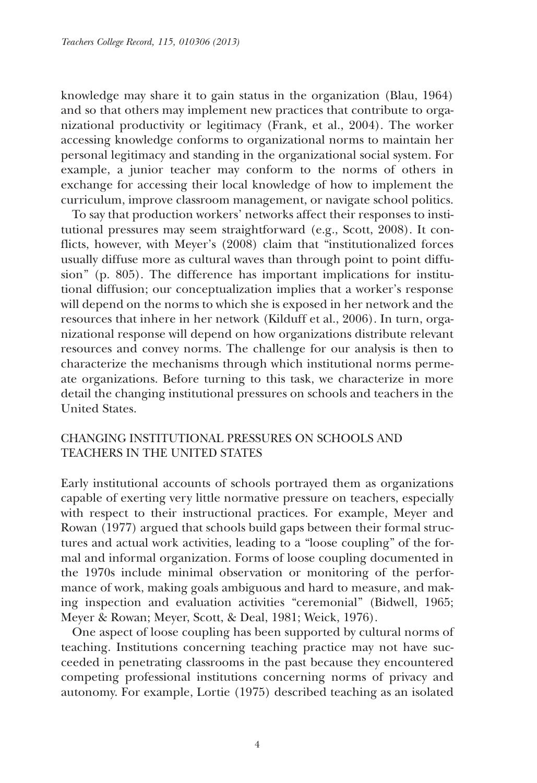knowledge may share it to gain status in the organization (Blau, 1964) and so that others may implement new practices that contribute to organizational productivity or legitimacy (Frank, et al., 2004). The worker accessing knowledge conforms to organizational norms to maintain her personal legitimacy and standing in the organizational social system. For example, a junior teacher may conform to the norms of others in exchange for accessing their local knowledge of how to implement the curriculum, improve classroom management, or navigate school politics.

To say that production workers' networks affect their responses to institutional pressures may seem straightforward (e.g., Scott, 2008). It conflicts, however, with Meyer's (2008) claim that "institutionalized forces usually diffuse more as cultural waves than through point to point diffusion" (p. 805). The difference has important implications for institutional diffusion; our conceptualization implies that a worker's response will depend on the norms to which she is exposed in her network and the resources that inhere in her network (Kilduff et al., 2006). In turn, organizational response will depend on how organizations distribute relevant resources and convey norms. The challenge for our analysis is then to characterize the mechanisms through which institutional norms permeate organizations. Before turning to this task, we characterize in more detail the changing institutional pressures on schools and teachers in the United States.

# CHANGING INSTITUTIONAL PRESSURES ON SCHOOLS AND TEACHERS IN THE UNITED STATES

Early institutional accounts of schools portrayed them as organizations capable of exerting very little normative pressure on teachers, especially with respect to their instructional practices. For example, Meyer and Rowan (1977) argued that schools build gaps between their formal structures and actual work activities, leading to a "loose coupling" of the formal and informal organization. Forms of loose coupling documented in the 1970s include minimal observation or monitoring of the performance of work, making goals ambiguous and hard to measure, and making inspection and evaluation activities "ceremonial" (Bidwell, 1965; Meyer & Rowan; Meyer, Scott, & Deal, 1981; Weick, 1976).

One aspect of loose coupling has been supported by cultural norms of teaching. Institutions concerning teaching practice may not have succeeded in penetrating classrooms in the past because they encountered competing professional institutions concerning norms of privacy and autonomy. For example, Lortie (1975) described teaching as an isolated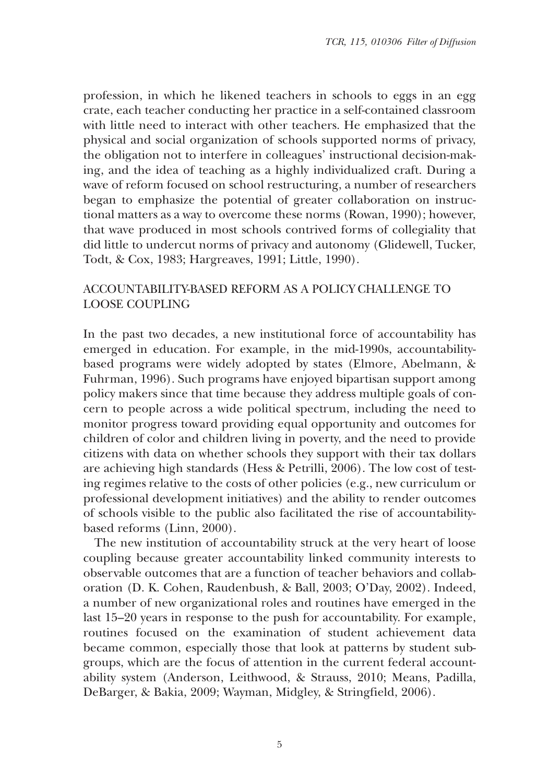profession, in which he likened teachers in schools to eggs in an egg crate, each teacher conducting her practice in a self-contained classroom with little need to interact with other teachers. He emphasized that the physical and social organization of schools supported norms of privacy, the obligation not to interfere in colleagues' instructional decision-making, and the idea of teaching as a highly individualized craft. During a wave of reform focused on school restructuring, a number of researchers began to emphasize the potential of greater collaboration on instructional matters as a way to overcome these norms (Rowan, 1990); however, that wave produced in most schools contrived forms of collegiality that did little to undercut norms of privacy and autonomy (Glidewell, Tucker, Todt, & Cox, 1983; Hargreaves, 1991; Little, 1990).

# ACCOUNTABILITY-BASED REFORM AS A POLICY CHALLENGE TO LOOSE COUPLING

In the past two decades, a new institutional force of accountability has emerged in education. For example, in the mid-1990s, accountabilitybased programs were widely adopted by states (Elmore, Abelmann, & Fuhrman, 1996). Such programs have enjoyed bipartisan support among policy makers since that time because they address multiple goals of concern to people across a wide political spectrum, including the need to monitor progress toward providing equal opportunity and outcomes for children of color and children living in poverty, and the need to provide citizens with data on whether schools they support with their tax dollars are achieving high standards (Hess & Petrilli, 2006). The low cost of testing regimes relative to the costs of other policies (e.g., new curriculum or professional development initiatives) and the ability to render outcomes of schools visible to the public also facilitated the rise of accountabilitybased reforms (Linn, 2000).

The new institution of accountability struck at the very heart of loose coupling because greater accountability linked community interests to observable outcomes that are a function of teacher behaviors and collaboration (D. K. Cohen, Raudenbush, & Ball, 2003; O'Day, 2002). Indeed, a number of new organizational roles and routines have emerged in the last 15–20 years in response to the push for accountability. For example, routines focused on the examination of student achievement data became common, especially those that look at patterns by student subgroups, which are the focus of attention in the current federal accountability system (Anderson, Leithwood, & Strauss, 2010; Means, Padilla, DeBarger, & Bakia, 2009; Wayman, Midgley, & Stringfield, 2006).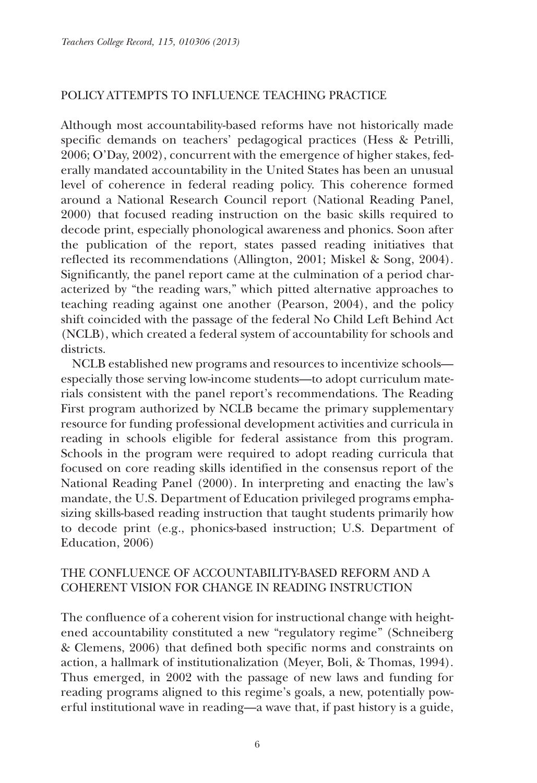#### POLICY ATTEMPTS TO INFLUENCE TEACHING PRACTICE

Although most accountability-based reforms have not historically made specific demands on teachers' pedagogical practices (Hess & Petrilli, 2006; O'Day, 2002), concurrent with the emergence of higher stakes, federally mandated accountability in the United States has been an unusual level of coherence in federal reading policy. This coherence formed around a National Research Council report (National Reading Panel, 2000) that focused reading instruction on the basic skills required to decode print, especially phonological awareness and phonics. Soon after the publication of the report, states passed reading initiatives that reflected its recommendations (Allington, 2001; Miskel & Song, 2004). Significantly, the panel report came at the culmination of a period characterized by "the reading wars," which pitted alternative approaches to teaching reading against one another (Pearson, 2004), and the policy shift coincided with the passage of the federal No Child Left Behind Act (NCLB), which created a federal system of accountability for schools and districts.

NCLB established new programs and resources to incentivize schools especially those serving low-income students—to adopt curriculum materials consistent with the panel report's recommendations. The Reading First program authorized by NCLB became the primary supplementary resource for funding professional development activities and curricula in reading in schools eligible for federal assistance from this program. Schools in the program were required to adopt reading curricula that focused on core reading skills identified in the consensus report of the National Reading Panel (2000). In interpreting and enacting the law's mandate, the U.S. Department of Education privileged programs emphasizing skills-based reading instruction that taught students primarily how to decode print (e.g., phonics-based instruction; U.S. Department of Education, 2006)

# THE CONFLUENCE OF ACCOUNTABILITY-BASED REFORM AND A COHERENT VISION FOR CHANGE IN READING INSTRUCTION

The confluence of a coherent vision for instructional change with heightened accountability constituted a new "regulatory regime" (Schneiberg & Clemens, 2006) that defined both specific norms and constraints on action, a hallmark of institutionalization (Meyer, Boli, & Thomas, 1994). Thus emerged, in 2002 with the passage of new laws and funding for reading programs aligned to this regime's goals, a new, potentially powerful institutional wave in reading—a wave that, if past history is a guide,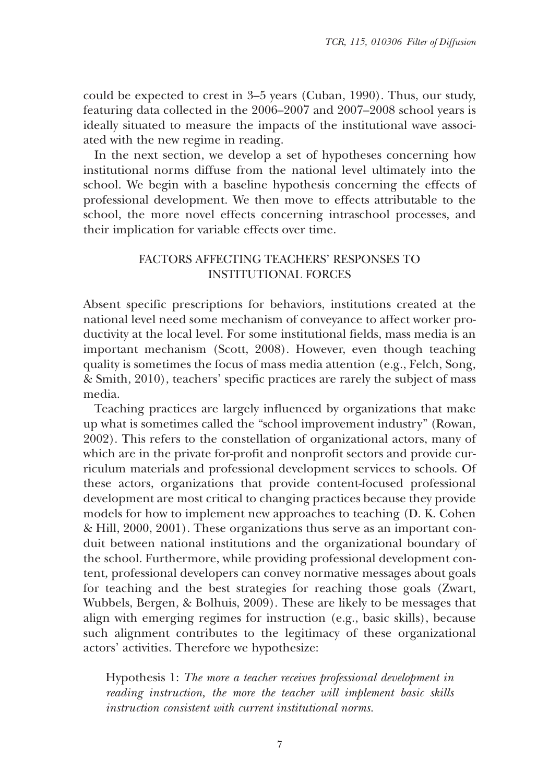could be expected to crest in 3–5 years (Cuban, 1990). Thus, our study, featuring data collected in the 2006–2007 and 2007–2008 school years is ideally situated to measure the impacts of the institutional wave associated with the new regime in reading.

In the next section, we develop a set of hypotheses concerning how institutional norms diffuse from the national level ultimately into the school. We begin with a baseline hypothesis concerning the effects of professional development. We then move to effects attributable to the school, the more novel effects concerning intraschool processes, and their implication for variable effects over time.

### FACTORS AFFECTING TEACHERS' RESPONSES TO INSTITUTIONAL FORCES

Absent specific prescriptions for behaviors, institutions created at the national level need some mechanism of conveyance to affect worker productivity at the local level. For some institutional fields, mass media is an important mechanism (Scott, 2008). However, even though teaching quality is sometimes the focus of mass media attention (e.g., Felch, Song, & Smith, 2010), teachers' specific practices are rarely the subject of mass media.

Teaching practices are largely influenced by organizations that make up what is sometimes called the "school improvement industry" (Rowan, 2002). This refers to the constellation of organizational actors, many of which are in the private for-profit and nonprofit sectors and provide curriculum materials and professional development services to schools. Of these actors, organizations that provide content-focused professional development are most critical to changing practices because they provide models for how to implement new approaches to teaching (D. K. Cohen & Hill, 2000, 2001). These organizations thus serve as an important conduit between national institutions and the organizational boundary of the school. Furthermore, while providing professional development content, professional developers can convey normative messages about goals for teaching and the best strategies for reaching those goals (Zwart, Wubbels, Bergen, & Bolhuis, 2009). These are likely to be messages that align with emerging regimes for instruction (e.g., basic skills), because such alignment contributes to the legitimacy of these organizational actors' activities. Therefore we hypothesize:

Hypothesis 1: *The more a teacher receives professional development in reading instruction, the more the teacher will implement basic skills instruction consistent with current institutional norms.*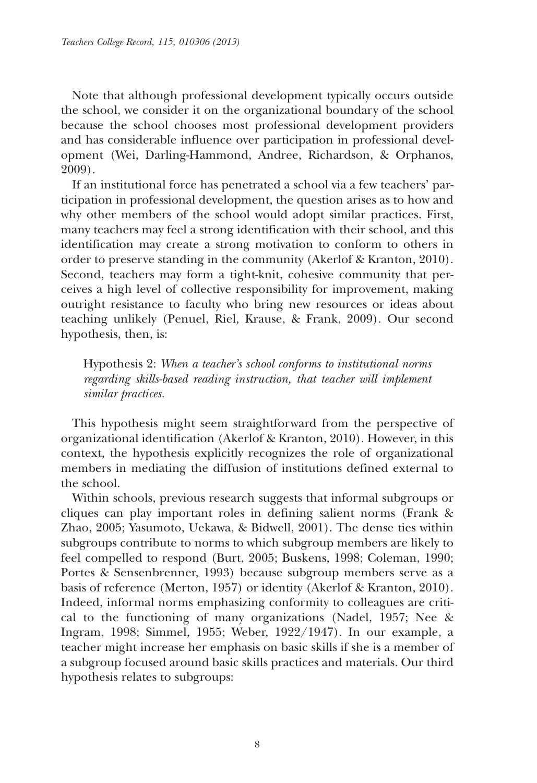Note that although professional development typically occurs outside the school, we consider it on the organizational boundary of the school because the school chooses most professional development providers and has considerable influence over participation in professional development (Wei, Darling-Hammond, Andree, Richardson, & Orphanos, 2009).

If an institutional force has penetrated a school via a few teachers' participation in professional development, the question arises as to how and why other members of the school would adopt similar practices. First, many teachers may feel a strong identification with their school, and this identification may create a strong motivation to conform to others in order to preserve standing in the community (Akerlof & Kranton, 2010). Second, teachers may form a tight-knit, cohesive community that perceives a high level of collective responsibility for improvement, making outright resistance to faculty who bring new resources or ideas about teaching unlikely (Penuel, Riel, Krause, & Frank, 2009). Our second hypothesis, then, is:

Hypothesis 2: *When a teacher's school conforms to institutional norms regarding skills-based reading instruction, that teacher will implement similar practices.*

This hypothesis might seem straightforward from the perspective of organizational identification (Akerlof & Kranton, 2010). However, in this context, the hypothesis explicitly recognizes the role of organizational members in mediating the diffusion of institutions defined external to the school.

Within schools, previous research suggests that informal subgroups or cliques can play important roles in defining salient norms (Frank & Zhao, 2005; Yasumoto, Uekawa, & Bidwell, 2001). The dense ties within subgroups contribute to norms to which subgroup members are likely to feel compelled to respond (Burt, 2005; Buskens, 1998; Coleman, 1990; Portes & Sensenbrenner, 1993) because subgroup members serve as a basis of reference (Merton, 1957) or identity (Akerlof & Kranton, 2010). Indeed, informal norms emphasizing conformity to colleagues are critical to the functioning of many organizations (Nadel, 1957; Nee & Ingram, 1998; Simmel, 1955; Weber, 1922/1947). In our example, a teacher might increase her emphasis on basic skills if she is a member of a subgroup focused around basic skills practices and materials. Our third hypothesis relates to subgroups: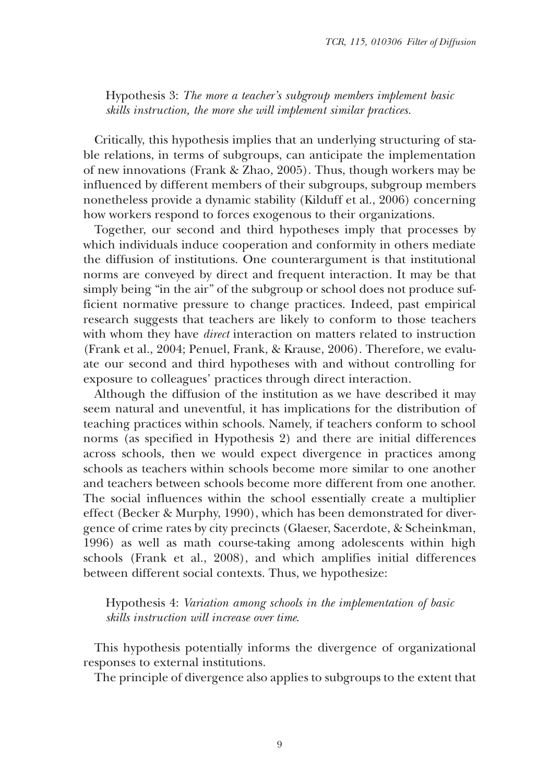Hypothesis 3: *The more a teacher's subgroup members implement basic skills instruction, the more she will implement similar practices.*

Critically, this hypothesis implies that an underlying structuring of stable relations, in terms of subgroups, can anticipate the implementation of new innovations (Frank & Zhao, 2005). Thus, though workers may be influenced by different members of their subgroups, subgroup members nonetheless provide a dynamic stability (Kilduff et al., 2006) concerning how workers respond to forces exogenous to their organizations.

Together, our second and third hypotheses imply that processes by which individuals induce cooperation and conformity in others mediate the diffusion of institutions. One counterargument is that institutional norms are conveyed by direct and frequent interaction. It may be that simply being "in the air" of the subgroup or school does not produce sufficient normative pressure to change practices. Indeed, past empirical research suggests that teachers are likely to conform to those teachers with whom they have *direct* interaction on matters related to instruction (Frank et al., 2004; Penuel, Frank, & Krause, 2006). Therefore, we evaluate our second and third hypotheses with and without controlling for exposure to colleagues' practices through direct interaction.

Although the diffusion of the institution as we have described it may seem natural and uneventful, it has implications for the distribution of teaching practices within schools. Namely, if teachers conform to school norms (as specified in Hypothesis 2) and there are initial differences across schools, then we would expect divergence in practices among schools as teachers within schools become more similar to one another and teachers between schools become more different from one another. The social influences within the school essentially create a multiplier effect (Becker & Murphy, 1990), which has been demonstrated for divergence of crime rates by city precincts (Glaeser, Sacerdote, & Scheinkman, 1996) as well as math course-taking among adolescents within high schools (Frank et al., 2008), and which amplifies initial differences between different social contexts. Thus, we hypothesize:

Hypothesis 4: *Variation among schools in the implementation of basic skills instruction will increase over time*.

This hypothesis potentially informs the divergence of organizational responses to external institutions.

The principle of divergence also applies to subgroups to the extent that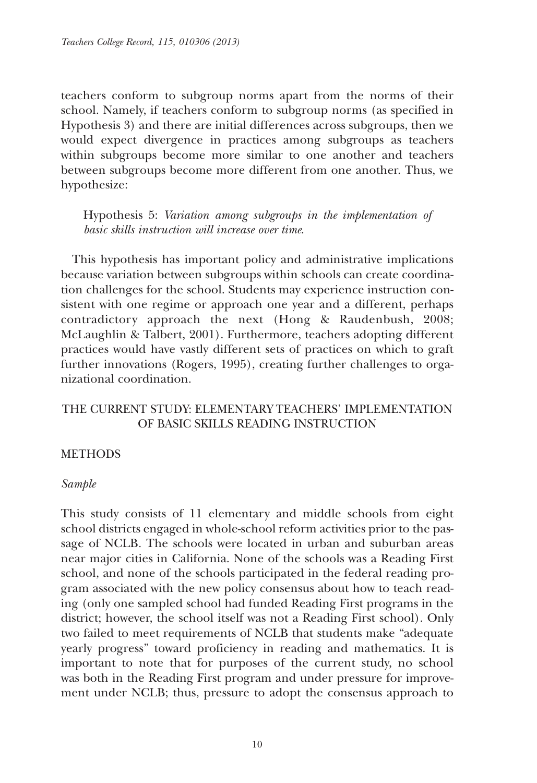teachers conform to subgroup norms apart from the norms of their school. Namely, if teachers conform to subgroup norms (as specified in Hypothesis 3) and there are initial differences across subgroups, then we would expect divergence in practices among subgroups as teachers within subgroups become more similar to one another and teachers between subgroups become more different from one another. Thus, we hypothesize:

Hypothesis 5: *Variation among subgroups in the implementation of basic skills instruction will increase over time*.

This hypothesis has important policy and administrative implications because variation between subgroups within schools can create coordination challenges for the school. Students may experience instruction consistent with one regime or approach one year and a different, perhaps contradictory approach the next (Hong & Raudenbush, 2008; McLaughlin & Talbert, 2001). Furthermore, teachers adopting different practices would have vastly different sets of practices on which to graft further innovations (Rogers, 1995), creating further challenges to organizational coordination.

# THE CURRENT STUDY: ELEMENTARY TEACHERS' IMPLEMENTATION OF BASIC SKILLS READING INSTRUCTION

#### **METHODS**

#### *Sample*

This study consists of 11 elementary and middle schools from eight school districts engaged in whole-school reform activities prior to the passage of NCLB*.* The schools were located in urban and suburban areas near major cities in California. None of the schools was a Reading First school, and none of the schools participated in the federal reading program associated with the new policy consensus about how to teach reading (only one sampled school had funded Reading First programs in the district; however, the school itself was not a Reading First school). Only two failed to meet requirements of NCLB that students make "adequate yearly progress" toward proficiency in reading and mathematics. It is important to note that for purposes of the current study, no school was both in the Reading First program and under pressure for improvement under NCLB; thus, pressure to adopt the consensus approach to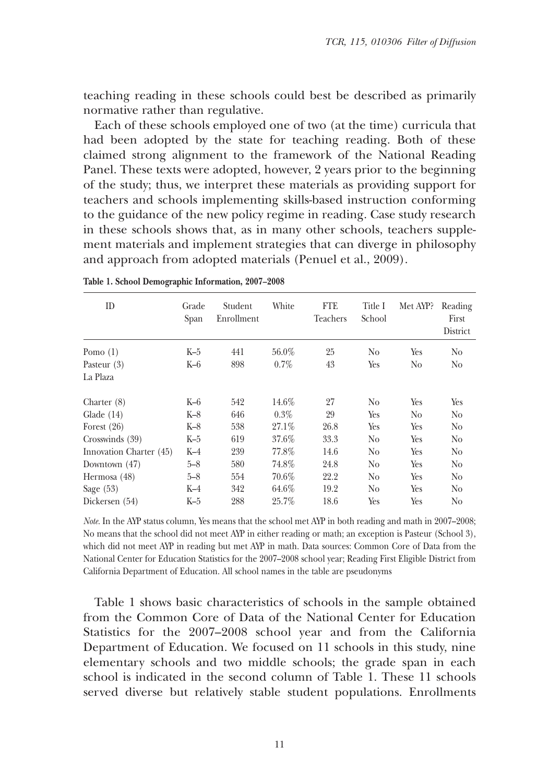teaching reading in these schools could best be described as primarily normative rather than regulative.

Each of these schools employed one of two (at the time) curricula that had been adopted by the state for teaching reading. Both of these claimed strong alignment to the framework of the National Reading Panel. These texts were adopted, however, 2 years prior to the beginning of the study; thus, we interpret these materials as providing support for teachers and schools implementing skills-based instruction conforming to the guidance of the new policy regime in reading. Case study research in these schools shows that, as in many other schools, teachers supplement materials and implement strategies that can diverge in philosophy and approach from adopted materials (Penuel et al., 2009).

| ID                      | Grade<br>Span | Student<br>Enrollment | White    | FTE<br>Teachers | Title I<br>School | Met AYP? | Reading<br>First<br>District |
|-------------------------|---------------|-----------------------|----------|-----------------|-------------------|----------|------------------------------|
| Pomo $(1)$              | $K-5$         | 441                   | $56.0\%$ | 25              | N <sub>0</sub>    | Yes      | N <sub>0</sub>               |
| Pasteur (3)             | $K-6$         | 898                   | $0.7\%$  | 43              | Yes               | No       | No.                          |
| La Plaza                |               |                       |          |                 |                   |          |                              |
| Charter $(8)$           | K-6           | 542                   | 14.6%    | 27              | N <sub>0</sub>    | Yes      | Yes                          |
| Glade $(14)$            | $K-8$         | 646                   | $0.3\%$  | 29              | Yes               | No       | N <sub>0</sub>               |
| Forest $(26)$           | $K-8$         | 538                   | 27.1%    | 26.8            | Yes               | Yes      | N <sub>0</sub>               |
| Crosswinds (39)         | K-5           | 619                   | 37.6%    | 33.3            | N <sub>0</sub>    | Yes      | N <sub>0</sub>               |
| Innovation Charter (45) | $K-4$         | 239                   | 77.8%    | 14.6            | N <sub>0</sub>    | Yes      | N <sub>0</sub>               |
| Downtown (47)           | $5 - 8$       | 580                   | 74.8%    | 24.8            | N <sub>0</sub>    | Yes      | N <sub>0</sub>               |
| Hermosa (48)            | $5 - 8$       | 554                   | $70.6\%$ | 22.2            | N <sub>0</sub>    | Yes      | N <sub>0</sub>               |
| Sage $(53)$             | K-4           | 342                   | 64.6%    | 19.2            | No                | Yes      | N <sub>0</sub>               |
| Dickersen (54)          | $K-5$         | 288                   | 25.7%    | 18.6            | Yes               | Yes      | N <sub>0</sub>               |

**Table 1. School Demographic Information, 2007–2008**

*Note.* In the AYP status column, Yes means that the school met AYP in both reading and math in 2007–2008; No means that the school did not meet AYP in either reading or math; an exception is Pasteur (School 3), which did not meet AYP in reading but met AYP in math. Data sources: Common Core of Data from the National Center for Education Statistics for the 2007–2008 school year; Reading First Eligible District from California Department of Education. All school names in the table are pseudonyms

Table 1 shows basic characteristics of schools in the sample obtained from the Common Core of Data of the National Center for Education Statistics for the 2007–2008 school year and from the California Department of Education. We focused on 11 schools in this study, nine elementary schools and two middle schools; the grade span in each school is indicated in the second column of Table 1. These 11 schools served diverse but relatively stable student populations. Enrollments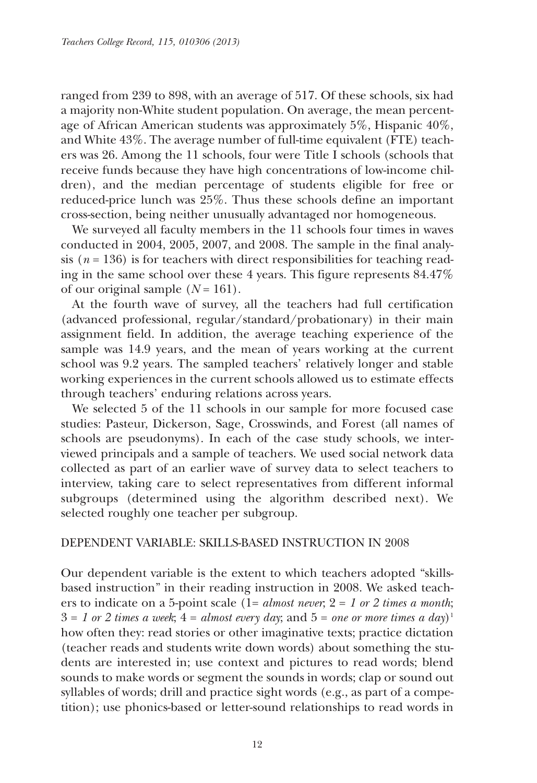ranged from 239 to 898, with an average of 517. Of these schools, six had a majority non-White student population. On average, the mean percentage of African American students was approximately 5%, Hispanic 40%, and White 43%. The average number of full-time equivalent (FTE) teachers was 26. Among the 11 schools, four were Title I schools (schools that receive funds because they have high concentrations of low-income children), and the median percentage of students eligible for free or reduced-price lunch was 25%. Thus these schools define an important cross-section, being neither unusually advantaged nor homogeneous.

We surveyed all faculty members in the 11 schools four times in waves conducted in 2004, 2005, 2007, and 2008. The sample in the final analysis ( $n = 136$ ) is for teachers with direct responsibilities for teaching reading in the same school over these 4 years. This figure represents 84.47% of our original sample  $(N = 161)$ .

At the fourth wave of survey, all the teachers had full certification (advanced professional, regular/standard/probationary) in their main assignment field. In addition, the average teaching experience of the sample was 14.9 years, and the mean of years working at the current school was 9.2 years. The sampled teachers' relatively longer and stable working experiences in the current schools allowed us to estimate effects through teachers' enduring relations across years.

We selected 5 of the 11 schools in our sample for more focused case studies: Pasteur, Dickerson, Sage, Crosswinds, and Forest (all names of schools are pseudonyms). In each of the case study schools, we interviewed principals and a sample of teachers. We used social network data collected as part of an earlier wave of survey data to select teachers to interview, taking care to select representatives from different informal subgroups (determined using the algorithm described next). We selected roughly one teacher per subgroup.

#### DEPENDENT VARIABLE: SKILLS-BASED INSTRUCTION IN 2008

Our dependent variable is the extent to which teachers adopted "skillsbased instruction" in their reading instruction in 2008. We asked teachers to indicate on a 5-point scale  $(1 = almost never, 2 = 1 or 2 times a month;$  $3 = 1$  *or* 2 *times a week*;  $4 =$  *almost every day*; and  $5 =$  *one or more times a day*)<sup>1</sup> how often they: read stories or other imaginative texts; practice dictation (teacher reads and students write down words) about something the students are interested in; use context and pictures to read words; blend sounds to make words or segment the sounds in words; clap or sound out syllables of words; drill and practice sight words (e.g., as part of a competition); use phonics-based or letter-sound relationships to read words in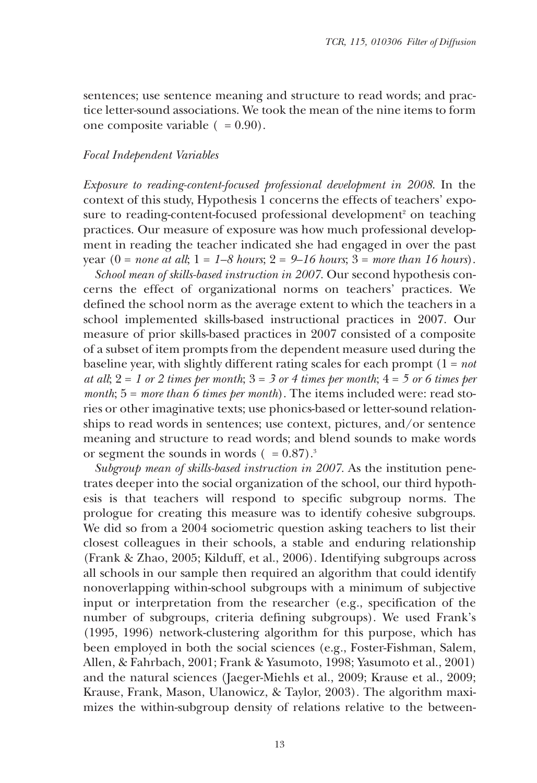sentences; use sentence meaning and structure to read words; and practice letter-sound associations. We took the mean of the nine items to form one composite variable  $( = 0.90)$ .

#### *Focal Independent Variables*

*Exposure to reading-content-focused professional development in 2008*. In the context of this study, Hypothesis 1 concerns the effects of teachers' exposure to reading-content-focused professional development <sup>2</sup> on teaching practices. Our measure of exposure was how much professional development in reading the teacher indicated she had engaged in over the past year (0 = *none at all*; 1 = *1–8 hours*; 2 = *9–16 hours*; 3 = *more than 16 hours*).

*School mean of skills-based instruction in 2007.* Our second hypothesis concerns the effect of organizational norms on teachers' practices. We defined the school norm as the average extent to which the teachers in a school implemented skills-based instructional practices in 2007. Our measure of prior skills-based practices in 2007 consisted of a composite of a subset of item prompts from the dependent measure used during the baseline year, with slightly different rating scales for each prompt (1 = *not*  $a$ *t all*;  $2 = 1$  *or*  $2$  *times per month*;  $3 = 3$  *or*  $4$  *times per month*;  $4 = 5$  *or*  $6$  *times per month*; 5 = *more than 6 times per month*). The items included were: read stories or other imaginative texts; use phonics-based or letter-sound relationships to read words in sentences; use context, pictures, and/or sentence meaning and structure to read words; and blend sounds to make words or segment the sounds in words  $( = 0.87).$ <sup>3</sup>

*Subgroup mean of skills-based instruction in 2007.* As the institution penetrates deeper into the social organization of the school, our third hypothesis is that teachers will respond to specific subgroup norms. The prologue for creating this measure was to identify cohesive subgroups. We did so from a 2004 sociometric question asking teachers to list their closest colleagues in their schools, a stable and enduring relationship (Frank & Zhao, 2005; Kilduff, et al., 2006). Identifying subgroups across all schools in our sample then required an algorithm that could identify nonoverlapping within-school subgroups with a minimum of subjective input or interpretation from the researcher (e.g., specification of the number of subgroups, criteria defining subgroups). We used Frank's (1995, 1996) network-clustering algorithm for this purpose, which has been employed in both the social sciences (e.g., Foster-Fishman, Salem, Allen, & Fahrbach, 2001; Frank & Yasumoto, 1998; Yasumoto et al., 2001) and the natural sciences (Jaeger-Miehls et al., 2009; Krause et al., 2009; Krause, Frank, Mason, Ulanowicz, & Taylor, 2003). The algorithm maximizes the within-subgroup density of relations relative to the between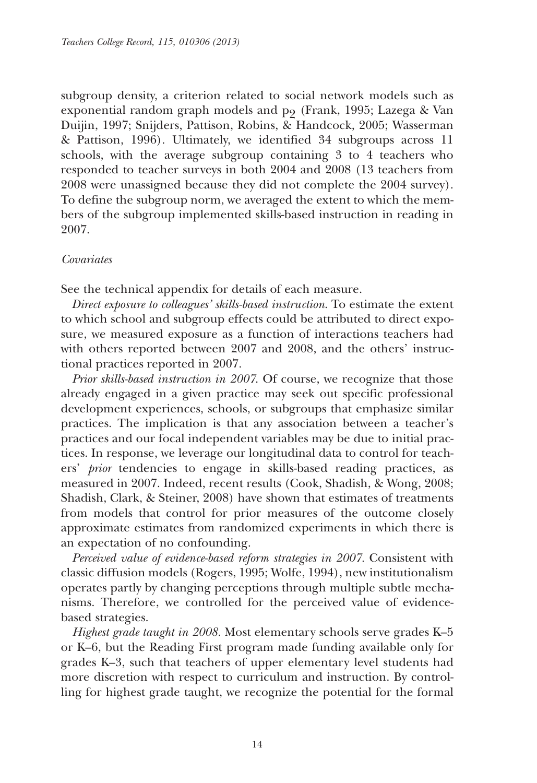subgroup density, a criterion related to social network models such as exponential random graph models and p<sub>9</sub> (Frank, 1995; Lazega & Van Duijin, 1997; Snijders, Pattison, Robins, & Handcock, 2005; Wasserman & Pattison, 1996). Ultimately, we identified 34 subgroups across 11 schools, with the average subgroup containing 3 to 4 teachers who responded to teacher surveys in both 2004 and 2008 (13 teachers from 2008 were unassigned because they did not complete the 2004 survey). To define the subgroup norm, we averaged the extent to which the members of the subgroup implemented skills-based instruction in reading in 2007.

#### *Covariates*

See the technical appendix for details of each measure.

*Direct exposure to colleagues' skills-based instruction*. To estimate the extent to which school and subgroup effects could be attributed to direct exposure, we measured exposure as a function of interactions teachers had with others reported between 2007 and 2008, and the others' instructional practices reported in 2007.

*Prior skills-based instruction in 2007*. Of course, we recognize that those already engaged in a given practice may seek out specific professional development experiences, schools, or subgroups that emphasize similar practices. The implication is that any association between a teacher's practices and our focal independent variables may be due to initial practices. In response, we leverage our longitudinal data to control for teachers' *prior* tendencies to engage in skills-based reading practices, as measured in 2007. Indeed, recent results (Cook, Shadish, & Wong, 2008; Shadish, Clark, & Steiner, 2008) have shown that estimates of treatments from models that control for prior measures of the outcome closely approximate estimates from randomized experiments in which there is an expectation of no confounding.

*Perceived value of evidence-based reform strategies in 2007.* Consistent with classic diffusion models (Rogers, 1995; Wolfe, 1994), new institutionalism operates partly by changing perceptions through multiple subtle mechanisms. Therefore, we controlled for the perceived value of evidencebased strategies.

*Highest grade taught in 2008.* Most elementary schools serve grades K–5 or K–6, but the Reading First program made funding available only for grades K–3, such that teachers of upper elementary level students had more discretion with respect to curriculum and instruction. By controlling for highest grade taught, we recognize the potential for the formal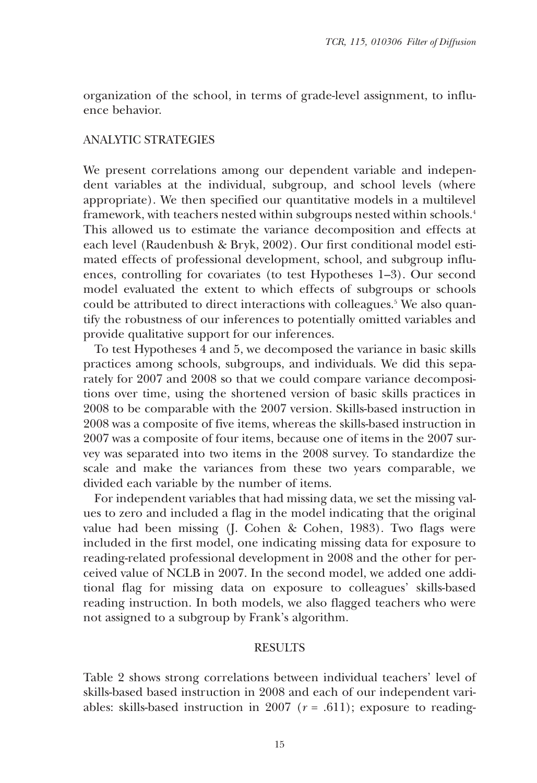organization of the school, in terms of grade-level assignment, to influence behavior.

#### ANALYTIC STRATEGIES

We present correlations among our dependent variable and independent variables at the individual, subgroup, and school levels (where appropriate). We then specified our quantitative models in a multilevel framework, with teachers nested within subgroups nested within schools. 4 This allowed us to estimate the variance decomposition and effects at each level (Raudenbush & Bryk, 2002). Our first conditional model estimated effects of professional development, school, and subgroup influences, controlling for covariates (to test Hypotheses 1–3). Our second model evaluated the extent to which effects of subgroups or schools could be attributed to direct interactions with colleagues.<sup>5</sup> We also quantify the robustness of our inferences to potentially omitted variables and provide qualitative support for our inferences.

To test Hypotheses 4 and 5, we decomposed the variance in basic skills practices among schools, subgroups, and individuals. We did this separately for 2007 and 2008 so that we could compare variance decompositions over time, using the shortened version of basic skills practices in 2008 to be comparable with the 2007 version. Skills-based instruction in 2008 was a composite of five items, whereas the skills-based instruction in 2007 was a composite of four items, because one of items in the 2007 survey was separated into two items in the 2008 survey. To standardize the scale and make the variances from these two years comparable, we divided each variable by the number of items.

For independent variables that had missing data, we set the missing values to zero and included a flag in the model indicating that the original value had been missing (J. Cohen & Cohen, 1983). Two flags were included in the first model, one indicating missing data for exposure to reading-related professional development in 2008 and the other for perceived value of NCLB in 2007. In the second model, we added one additional flag for missing data on exposure to colleagues' skills-based reading instruction. In both models, we also flagged teachers who were not assigned to a subgroup by Frank's algorithm.

#### RESULTS

Table 2 shows strong correlations between individual teachers' level of skills-based based instruction in 2008 and each of our independent variables: skills-based instruction in 2007 ( $r = .611$ ); exposure to reading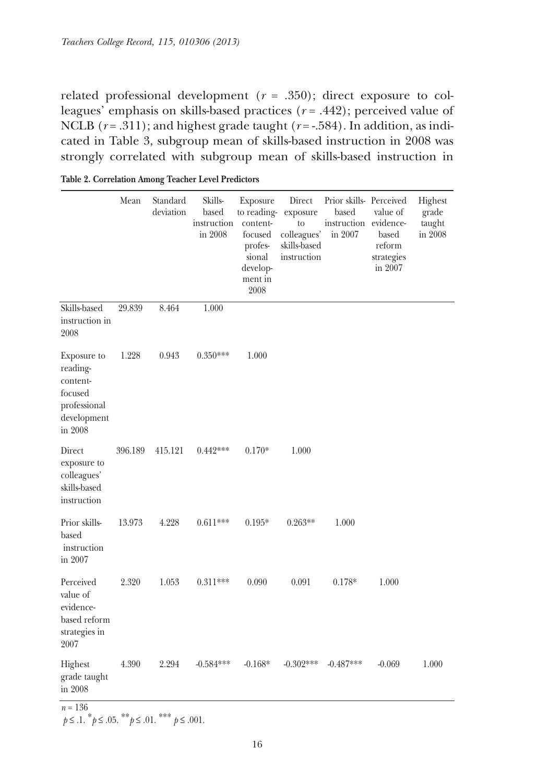related professional development (*r* = .350); direct exposure to colleagues' emphasis on skills-based practices (*r* = .442); perceived value of NCLB ( $r = .311$ ); and highest grade taught ( $r = -.584$ ). In addition, as indicated in Table 3, subgroup mean of skills-based instruction in 2008 was strongly correlated with subgroup mean of skills-based instruction in

|                                                                                          | Mean    | Standard<br>deviation | Skills-<br>based<br>instruction<br>in 2008 | Exposure<br>to reading-exposure<br>content-<br>focused<br>profes-<br>sional<br>develop-<br>ment in<br>2008 | Direct<br>to<br>colleagues'<br>skills-based<br>instruction | Prior skills- Perceived<br>based<br>instruction evidence-<br>in 2007 | value of<br>based<br>reform<br>strategies<br>in 2007 | Highest<br>grade<br>taught<br>in 2008 |
|------------------------------------------------------------------------------------------|---------|-----------------------|--------------------------------------------|------------------------------------------------------------------------------------------------------------|------------------------------------------------------------|----------------------------------------------------------------------|------------------------------------------------------|---------------------------------------|
| Skills-based<br>instruction in<br>2008                                                   | 29.839  | 8.464                 | 1.000                                      |                                                                                                            |                                                            |                                                                      |                                                      |                                       |
| Exposure to<br>reading-<br>content-<br>focused<br>professional<br>development<br>in 2008 | 1.228   | 0.943                 | $0.350***$                                 | 1.000                                                                                                      |                                                            |                                                                      |                                                      |                                       |
| Direct<br>exposure to<br>colleagues'<br>skills-based<br>instruction                      | 396.189 | 415.121               | $0.442***$                                 | $0.170*$                                                                                                   | 1.000                                                      |                                                                      |                                                      |                                       |
| Prior skills-<br>based<br>instruction<br>in 2007                                         | 13.973  | 4.228                 | $0.611***$                                 | $0.195*$                                                                                                   | $0.263**$                                                  | 1.000                                                                |                                                      |                                       |
| Perceived<br>value of<br>evidence-<br>based reform<br>strategies in<br>2007              | 2.320   | 1.053                 | $0.311***$                                 | 0.090                                                                                                      | 0.091                                                      | $0.178*$                                                             | 1.000                                                |                                       |
| Highest<br>grade taught<br>in 2008                                                       | 4.390   | 2.294                 | $-0.584***$                                | $-0.168*$                                                                                                  | $-0.302***$                                                | $-0.487***$                                                          | $-0.069$                                             | 1.000                                 |

| Table 2. Correlation Among Teacher Level Predictors |  |  |  |  |
|-----------------------------------------------------|--|--|--|--|
|-----------------------------------------------------|--|--|--|--|

 $n = 136$ <br>  $p \le 0.1$ .  $p \le 0.05$ .  $p \le 0.01$ .  $p \le 0.001$ .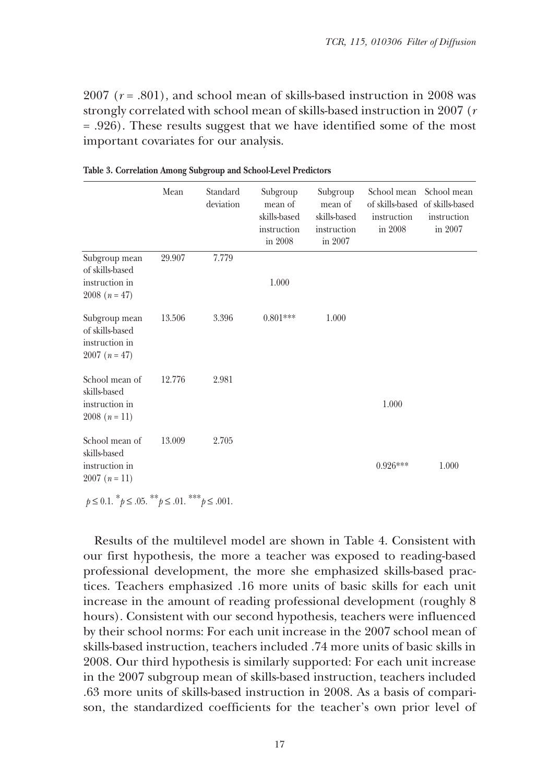2007 (*r* = .801), and school mean of skills-based instruction in 2008 was strongly correlated with school mean of skills-based instruction in 2007 (*r* = .926). These results suggest that we have identified some of the most important covariates for our analysis.

|                                                                       | Mean   | Standard<br>deviation | Subgroup<br>mean of<br>skills-based<br>instruction<br>in 2008 | Subgroup<br>mean of<br>skills-based<br>instruction<br>in 2007 | School mean<br>instruction<br>in 2008 | School mean<br>of skills-based of skills-based<br>instruction<br>in 2007 |
|-----------------------------------------------------------------------|--------|-----------------------|---------------------------------------------------------------|---------------------------------------------------------------|---------------------------------------|--------------------------------------------------------------------------|
| Subgroup mean<br>of skills-based<br>instruction in<br>$2008(n = 47)$  | 29.907 | 7.779                 | 1.000                                                         |                                                               |                                       |                                                                          |
| Subgroup mean<br>of skills-based<br>instruction in<br>$2007(n=47)$    | 13.506 | 3.396                 | $0.801***$                                                    | 1.000                                                         |                                       |                                                                          |
| School mean of<br>skills-based<br>instruction in<br>$2008(n=11)$      | 12.776 | 2.981                 |                                                               |                                                               | 1.000                                 |                                                                          |
| School mean of<br>skills-based<br>instruction in<br>$2007(n=11)$      | 13.009 | 2.705                 |                                                               |                                                               | $0.926***$                            | 1.000                                                                    |
| $p \le 0.1$ . $^*p \le .05$ . $^{**}p \le .01$ . $^{***}p \le .001$ . |        |                       |                                                               |                                                               |                                       |                                                                          |

**Table 3. Correlation Among Subgroup and School-Level Predictors**

Results of the multilevel model are shown in Table 4. Consistent with our first hypothesis, the more a teacher was exposed to reading-based professional development, the more she emphasized skills-based practices. Teachers emphasized .16 more units of basic skills for each unit increase in the amount of reading professional development (roughly 8 hours). Consistent with our second hypothesis, teachers were influenced by their school norms: For each unit increase in the 2007 school mean of skills-based instruction, teachers included .74 more units of basic skills in 2008. Our third hypothesis is similarly supported: For each unit increase in the 2007 subgroup mean of skills-based instruction, teachers included .63 more units of skills-based instruction in 2008. As a basis of comparison, the standardized coefficients for the teacher's own prior level of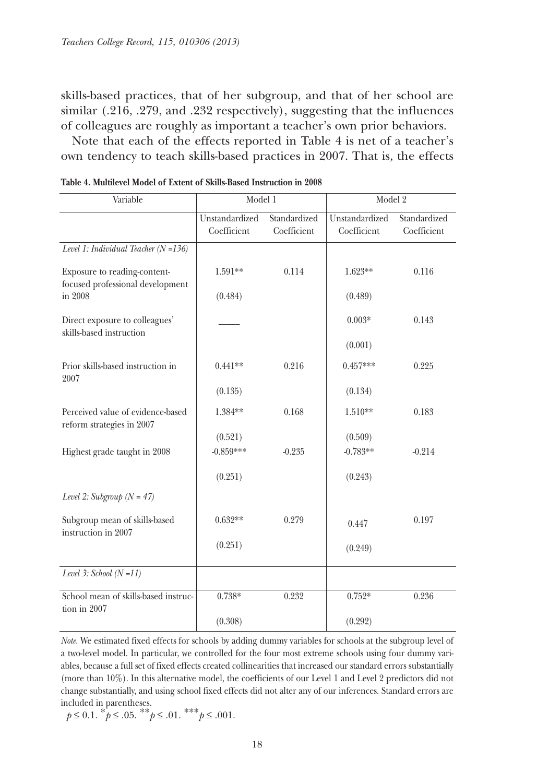skills-based practices, that of her subgroup, and that of her school are similar (.216, .279, and .232 respectively), suggesting that the influences of colleagues are roughly as important a teacher's own prior behaviors.

Note that each of the effects reported in Table 4 is net of a teacher's own tendency to teach skills-based practices in 2007. That is, the effects

| Variable                                                         | Model 1                       |                             | Model 2                       |                             |
|------------------------------------------------------------------|-------------------------------|-----------------------------|-------------------------------|-----------------------------|
|                                                                  | Unstandardized<br>Coefficient | Standardized<br>Coefficient | Unstandardized<br>Coefficient | Standardized<br>Coefficient |
| Level 1: Individual Teacher $(N=136)$                            |                               |                             |                               |                             |
| Exposure to reading-content-<br>focused professional development | 1.591**                       | 0.114                       | $1.623**$                     | 0.116                       |
| in 2008                                                          | (0.484)                       |                             | (0.489)                       |                             |
| Direct exposure to colleagues'<br>skills-based instruction       |                               |                             | $0.003*$                      | 0.143                       |
|                                                                  |                               |                             | (0.001)                       |                             |
| Prior skills-based instruction in<br>2007                        | $0.441**$                     | 0.216                       | $0.457***$                    | 0.225                       |
|                                                                  | (0.135)                       |                             | (0.134)                       |                             |
| Perceived value of evidence-based<br>reform strategies in 2007   | 1.384**                       | 0.168                       | 1.510**                       | 0.183                       |
|                                                                  | (0.521)                       |                             | (0.509)                       |                             |
| Highest grade taught in 2008                                     | $-0.859***$                   | $-0.235$                    | $-0.783**$                    | $-0.214$                    |
|                                                                  | (0.251)                       |                             | (0.243)                       |                             |
| Level 2: Subgroup $(N = 47)$                                     |                               |                             |                               |                             |
| Subgroup mean of skills-based<br>instruction in 2007             | $0.632**$                     | 0.279                       | 0.447                         | 0.197                       |
|                                                                  | (0.251)                       |                             | (0.249)                       |                             |
| Level 3: School $(N=11)$                                         |                               |                             |                               |                             |
| School mean of skills-based instruc-<br>tion in 2007             | $0.738*$                      | 0.232                       | $0.752*$                      | 0.236                       |
|                                                                  | (0.308)                       |                             | (0.292)                       |                             |

| Table 4. Multilevel Model of Extent of Skills-Based Instruction in 2008 |
|-------------------------------------------------------------------------|
|-------------------------------------------------------------------------|

*Note.* We estimated fixed effects for schools by adding dummy variables for schools at the subgroup level of a two-level model. In particular, we controlled for the four most extreme schools using four dummy variables, because a full set of fixed effects created collinearities that increased our standard errors substantially (more than 10%). In this alternative model, the coefficients of our Level 1 and Level 2 predictors did not change substantially, and using school fixed effects did not alter any of our inferences. Standard errors are included in parentheses.

$$
p \le 0.1
$$
.  $p \le .05$ .  $p \le .01$ .  $p \le .001$ .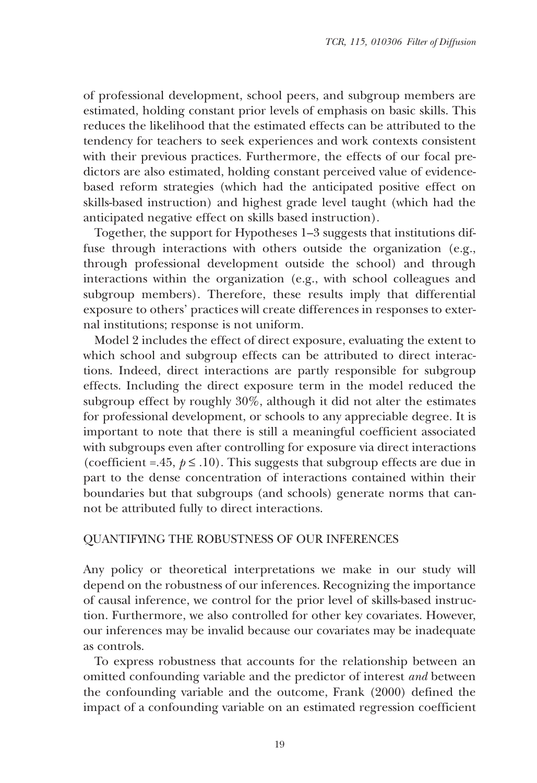of professional development, school peers, and subgroup members are estimated, holding constant prior levels of emphasis on basic skills. This reduces the likelihood that the estimated effects can be attributed to the tendency for teachers to seek experiences and work contexts consistent with their previous practices. Furthermore, the effects of our focal predictors are also estimated, holding constant perceived value of evidencebased reform strategies (which had the anticipated positive effect on skills-based instruction) and highest grade level taught (which had the anticipated negative effect on skills based instruction).

Together, the support for Hypotheses 1–3 suggests that institutions diffuse through interactions with others outside the organization (e.g., through professional development outside the school) and through interactions within the organization (e.g., with school colleagues and subgroup members). Therefore, these results imply that differential exposure to others' practices will create differences in responses to external institutions; response is not uniform.

Model 2 includes the effect of direct exposure, evaluating the extent to which school and subgroup effects can be attributed to direct interactions. Indeed, direct interactions are partly responsible for subgroup effects. Including the direct exposure term in the model reduced the subgroup effect by roughly 30%, although it did not alter the estimates for professional development, or schools to any appreciable degree. It is important to note that there is still a meaningful coefficient associated with subgroups even after controlling for exposure via direct interactions (coefficient =.45,  $p \leq .10$ ). This suggests that subgroup effects are due in part to the dense concentration of interactions contained within their boundaries but that subgroups (and schools) generate norms that cannot be attributed fully to direct interactions.

#### QUANTIFYING THE ROBUSTNESS OF OUR INFERENCES

Any policy or theoretical interpretations we make in our study will depend on the robustness of our inferences. Recognizing the importance of causal inference, we control for the prior level of skills-based instruction. Furthermore, we also controlled for other key covariates. However, our inferences may be invalid because our covariates may be inadequate as controls.

To express robustness that accounts for the relationship between an omitted confounding variable and the predictor of interest *and* between the confounding variable and the outcome, Frank (2000) defined the impact of a confounding variable on an estimated regression coefficient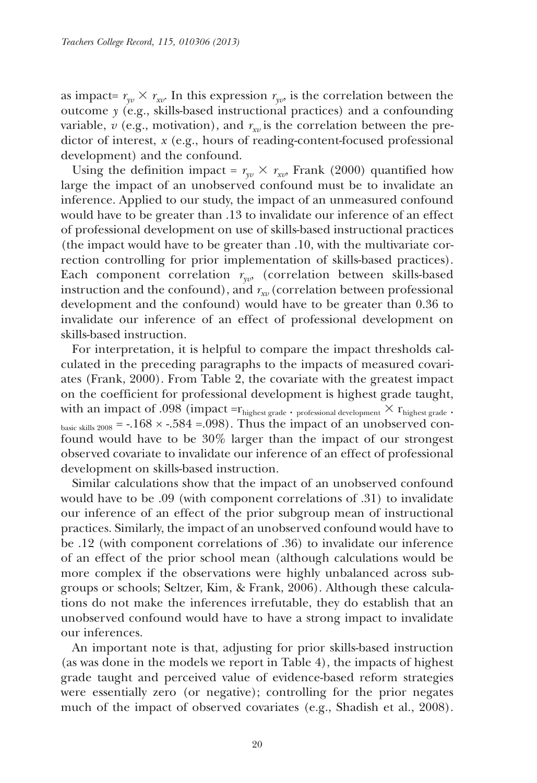as impact=  $r_{vv} \times r_{xv}$ . In this expression  $r_{vv}$  is the correlation between the outcome *y* (e.g., skills-based instructional practices) and a confounding variable,  $v$  (e.g., motivation), and  $r_{xy}$  is the correlation between the predictor of interest, *x* (e.g., hours of reading-content-focused professional development) and the confound.

Using the definition impact =  $r_{vv} \times r_{xv}$ , Frank (2000) quantified how large the impact of an unobserved confound must be to invalidate an inference. Applied to our study, the impact of an unmeasured confound would have to be greater than .13 to invalidate our inference of an effect of professional development on use of skills-based instructional practices (the impact would have to be greater than .10, with the multivariate correction controlling for prior implementation of skills-based practices). Each component correlation  $r_{yv}$ , (correlation between skills-based instruction and the confound), and  $r_{xy}$  (correlation between professional development and the confound) would have to be greater than 0.36 to invalidate our inference of an effect of professional development on skills-based instruction.

For interpretation, it is helpful to compare the impact thresholds calculated in the preceding paragraphs to the impacts of measured covariates (Frank, 2000). From Table 2, the covariate with the greatest impact on the coefficient for professional development is highest grade taught, with an impact of .098 (impact = $r_{\text{highest grade}}$  ⋅ professional development  $\times$   $r_{\text{highest grade}}$  ∙ basic skills 2008 =  $-168 \times -584 = 0.098$ . Thus the impact of an unobserved confound would have to be 30% larger than the impact of our strongest observed covariate to invalidate our inference of an effect of professional development on skills-based instruction.

Similar calculations show that the impact of an unobserved confound would have to be .09 (with component correlations of .31) to invalidate our inference of an effect of the prior subgroup mean of instructional practices. Similarly, the impact of an unobserved confound would have to be .12 (with component correlations of .36) to invalidate our inference of an effect of the prior school mean (although calculations would be more complex if the observations were highly unbalanced across subgroups or schools; Seltzer, Kim, & Frank, 2006). Although these calculations do not make the inferences irrefutable, they do establish that an unobserved confound would have to have a strong impact to invalidate our inferences.

An important note is that, adjusting for prior skills-based instruction (as was done in the models we report in Table 4), the impacts of highest grade taught and perceived value of evidence-based reform strategies were essentially zero (or negative); controlling for the prior negates much of the impact of observed covariates (e.g., Shadish et al., 2008).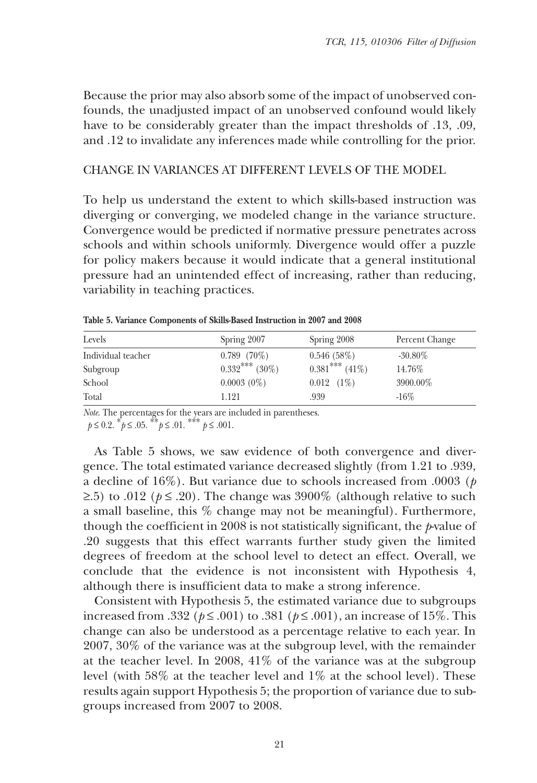Because the prior may also absorb some of the impact of unobserved confounds, the unadjusted impact of an unobserved confound would likely have to be considerably greater than the impact thresholds of .13, .09, and .12 to invalidate any inferences made while controlling for the prior.

#### CHANGE IN VARIANCES AT DIFFERENT LEVELS OF THE MODEL

To help us understand the extent to which skills-based instruction was diverging or converging, we modeled change in the variance structure. Convergence would be predicted if normative pressure penetrates across schools and within schools uniformly. Divergence would offer a puzzle for policy makers because it would indicate that a general institutional pressure had an unintended effect of increasing, rather than reducing, variability in teaching practices.

| Levels             | Spring 2007       | Spring 2008       | Percent Change |  |
|--------------------|-------------------|-------------------|----------------|--|
| Individual teacher | $0.789$ $(70\%)$  | 0.546(58%)        | $-30.80\%$     |  |
| Subgroup           | $0.332$ *** (30%) | $0.381***$ (41\%) | 14.76%         |  |
| School             | $0.0003(0\%)$     | $0.012$ $(1%)$    | 3900.00%       |  |
| Total              | 1.121             | .939              | $-16\%$        |  |

**Table 5. Variance Components of Skills-Based Instruction in 2007 and 2008**

*Note*. The percentages for the years are included in parentheses.<br>  $p \le 0.2$ .  $\binom{*}{2}$   $\le 0.05$ .  $\binom{**}{2}$   $\le 0.01$ .

As Table 5 shows, we saw evidence of both convergence and divergence. The total estimated variance decreased slightly (from 1.21 to .939, a decline of 16%). But variance due to schools increased from .0003 (*p* ≥.5) to .012 ( $p \le$  .20). The change was 3900% (although relative to such a small baseline, this % change may not be meaningful). Furthermore, though the coefficient in 2008 is not statistically significant, the *p*-value of .20 suggests that this effect warrants further study given the limited degrees of freedom at the school level to detect an effect. Overall, we conclude that the evidence is not inconsistent with Hypothesis 4, although there is insufficient data to make a strong inference.

Consistent with Hypothesis 5, the estimated variance due to subgroups increased from .332 (*p* ≤ .001) to .381 (*p* ≤ .001), an increase of 15%. This change can also be understood as a percentage relative to each year. In 2007, 30% of the variance was at the subgroup level, with the remainder at the teacher level. In 2008, 41% of the variance was at the subgroup level (with 58% at the teacher level and 1% at the school level). These results again support Hypothesis 5; the proportion of variance due to subgroups increased from 2007 to 2008.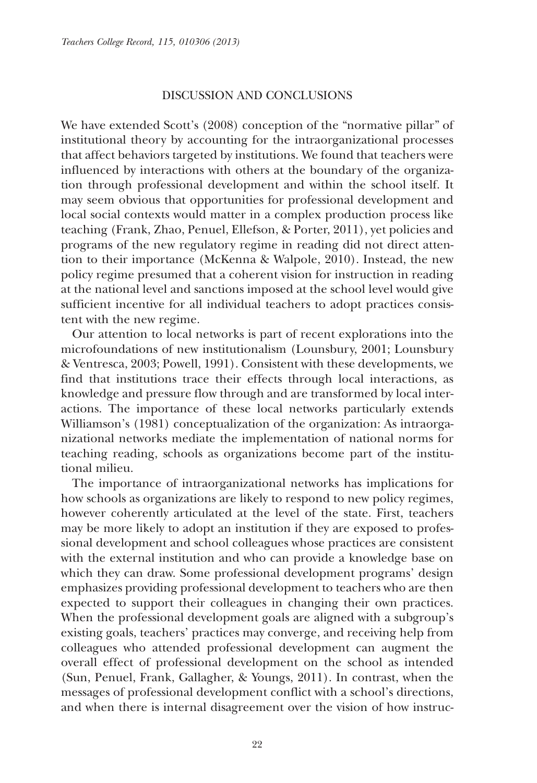#### DISCUSSION AND CONCLUSIONS

We have extended Scott's (2008) conception of the "normative pillar" of institutional theory by accounting for the intraorganizational processes that affect behaviors targeted by institutions. We found that teachers were influenced by interactions with others at the boundary of the organization through professional development and within the school itself. It may seem obvious that opportunities for professional development and local social contexts would matter in a complex production process like teaching (Frank, Zhao, Penuel, Ellefson, & Porter, 2011), yet policies and programs of the new regulatory regime in reading did not direct attention to their importance (McKenna & Walpole, 2010). Instead, the new policy regime presumed that a coherent vision for instruction in reading at the national level and sanctions imposed at the school level would give sufficient incentive for all individual teachers to adopt practices consistent with the new regime.

Our attention to local networks is part of recent explorations into the microfoundations of new institutionalism (Lounsbury, 2001; Lounsbury & Ventresca, 2003; Powell, 1991). Consistent with these developments, we find that institutions trace their effects through local interactions, as knowledge and pressure flow through and are transformed by local interactions. The importance of these local networks particularly extends Williamson's (1981) conceptualization of the organization: As intraorganizational networks mediate the implementation of national norms for teaching reading, schools as organizations become part of the institutional milieu.

The importance of intraorganizational networks has implications for how schools as organizations are likely to respond to new policy regimes, however coherently articulated at the level of the state. First, teachers may be more likely to adopt an institution if they are exposed to professional development and school colleagues whose practices are consistent with the external institution and who can provide a knowledge base on which they can draw. Some professional development programs' design emphasizes providing professional development to teachers who are then expected to support their colleagues in changing their own practices. When the professional development goals are aligned with a subgroup's existing goals, teachers' practices may converge, and receiving help from colleagues who attended professional development can augment the overall effect of professional development on the school as intended (Sun, Penuel, Frank, Gallagher, & Youngs, 2011). In contrast, when the messages of professional development conflict with a school's directions, and when there is internal disagreement over the vision of how instruc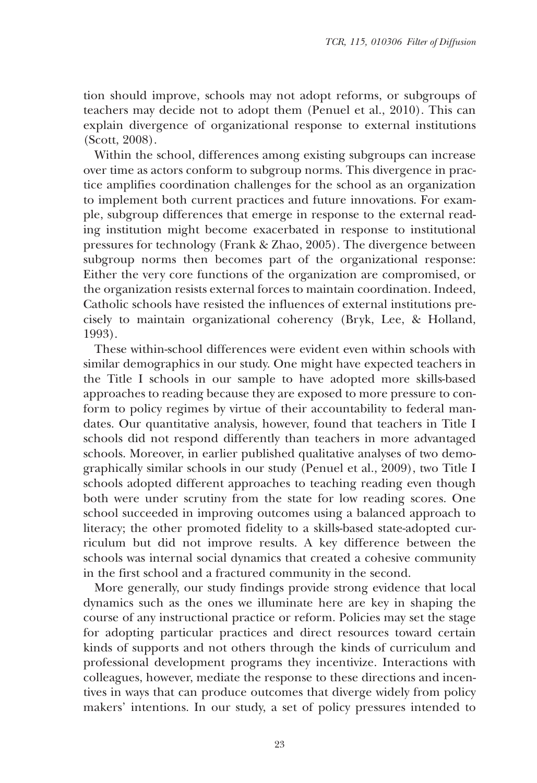tion should improve, schools may not adopt reforms, or subgroups of teachers may decide not to adopt them (Penuel et al., 2010). This can explain divergence of organizational response to external institutions (Scott, 2008).

Within the school, differences among existing subgroups can increase over time as actors conform to subgroup norms. This divergence in practice amplifies coordination challenges for the school as an organization to implement both current practices and future innovations. For example, subgroup differences that emerge in response to the external reading institution might become exacerbated in response to institutional pressures for technology (Frank & Zhao, 2005). The divergence between subgroup norms then becomes part of the organizational response: Either the very core functions of the organization are compromised, or the organization resists external forces to maintain coordination. Indeed, Catholic schools have resisted the influences of external institutions precisely to maintain organizational coherency (Bryk, Lee, & Holland, 1993).

These within-school differences were evident even within schools with similar demographics in our study. One might have expected teachers in the Title I schools in our sample to have adopted more skills-based approaches to reading because they are exposed to more pressure to conform to policy regimes by virtue of their accountability to federal mandates. Our quantitative analysis, however, found that teachers in Title I schools did not respond differently than teachers in more advantaged schools. Moreover, in earlier published qualitative analyses of two demographically similar schools in our study (Penuel et al., 2009), two Title I schools adopted different approaches to teaching reading even though both were under scrutiny from the state for low reading scores. One school succeeded in improving outcomes using a balanced approach to literacy; the other promoted fidelity to a skills-based state-adopted curriculum but did not improve results. A key difference between the schools was internal social dynamics that created a cohesive community in the first school and a fractured community in the second.

More generally, our study findings provide strong evidence that local dynamics such as the ones we illuminate here are key in shaping the course of any instructional practice or reform. Policies may set the stage for adopting particular practices and direct resources toward certain kinds of supports and not others through the kinds of curriculum and professional development programs they incentivize. Interactions with colleagues, however, mediate the response to these directions and incentives in ways that can produce outcomes that diverge widely from policy makers' intentions. In our study, a set of policy pressures intended to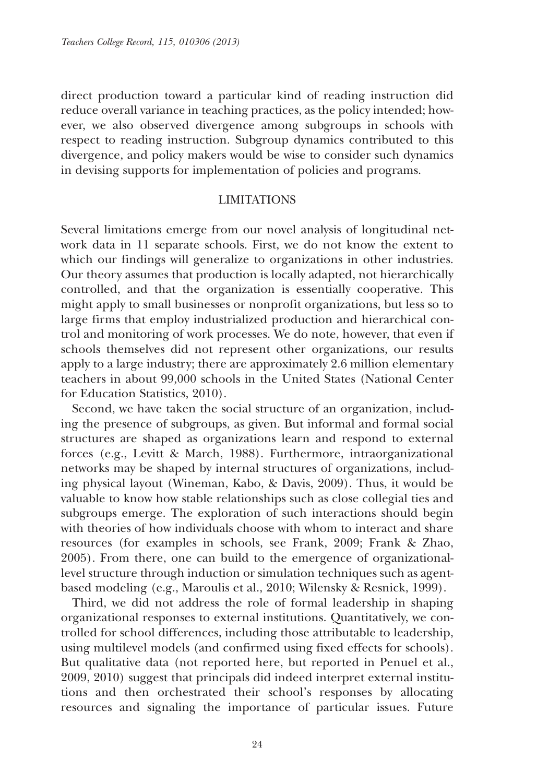direct production toward a particular kind of reading instruction did reduce overall variance in teaching practices, as the policy intended; however, we also observed divergence among subgroups in schools with respect to reading instruction. Subgroup dynamics contributed to this divergence, and policy makers would be wise to consider such dynamics in devising supports for implementation of policies and programs.

#### LIMITATIONS

Several limitations emerge from our novel analysis of longitudinal network data in 11 separate schools. First, we do not know the extent to which our findings will generalize to organizations in other industries. Our theory assumes that production is locally adapted, not hierarchically controlled, and that the organization is essentially cooperative. This might apply to small businesses or nonprofit organizations, but less so to large firms that employ industrialized production and hierarchical control and monitoring of work processes. We do note, however, that even if schools themselves did not represent other organizations, our results apply to a large industry; there are approximately 2.6 million elementary teachers in about 99,000 schools in the United States (National Center for Education Statistics, 2010).

Second, we have taken the social structure of an organization, including the presence of subgroups, as given. But informal and formal social structures are shaped as organizations learn and respond to external forces (e.g., Levitt & March, 1988). Furthermore, intraorganizational networks may be shaped by internal structures of organizations, including physical layout (Wineman, Kabo, & Davis, 2009). Thus, it would be valuable to know how stable relationships such as close collegial ties and subgroups emerge. The exploration of such interactions should begin with theories of how individuals choose with whom to interact and share resources (for examples in schools, see Frank, 2009; Frank & Zhao, 2005). From there, one can build to the emergence of organizationallevel structure through induction or simulation techniques such as agentbased modeling (e.g., Maroulis et al., 2010; Wilensky & Resnick, 1999).

Third, we did not address the role of formal leadership in shaping organizational responses to external institutions. Quantitatively, we controlled for school differences, including those attributable to leadership, using multilevel models (and confirmed using fixed effects for schools). But qualitative data (not reported here, but reported in Penuel et al., 2009, 2010) suggest that principals did indeed interpret external institutions and then orchestrated their school's responses by allocating resources and signaling the importance of particular issues. Future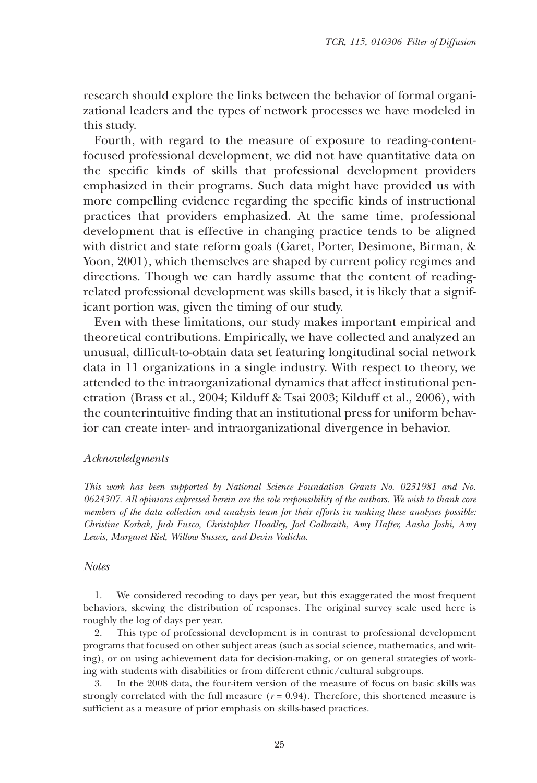research should explore the links between the behavior of formal organizational leaders and the types of network processes we have modeled in this study.

Fourth, with regard to the measure of exposure to reading-contentfocused professional development, we did not have quantitative data on the specific kinds of skills that professional development providers emphasized in their programs. Such data might have provided us with more compelling evidence regarding the specific kinds of instructional practices that providers emphasized. At the same time, professional development that is effective in changing practice tends to be aligned with district and state reform goals (Garet, Porter, Desimone, Birman, & Yoon, 2001), which themselves are shaped by current policy regimes and directions. Though we can hardly assume that the content of readingrelated professional development was skills based, it is likely that a significant portion was, given the timing of our study.

Even with these limitations, our study makes important empirical and theoretical contributions. Empirically, we have collected and analyzed an unusual, difficult-to-obtain data set featuring longitudinal social network data in 11 organizations in a single industry. With respect to theory, we attended to the intraorganizational dynamics that affect institutional penetration (Brass et al., 2004; Kilduff & Tsai 2003; Kilduff et al., 2006), with the counterintuitive finding that an institutional press for uniform behavior can create inter- and intraorganizational divergence in behavior.

#### *Acknowledgments*

*This work has been supported by National Science Foundation Grants No. 0231981 and No. 0624307. All opinions expressed herein are the sole responsibility of the authors. We wish to thank core members of the data collection and analysis team for their efforts in making these analyses possible: Christine Korbak, Judi Fusco, Christopher Hoadley, Joel Galbraith, Amy Hafter, Aasha Joshi, Amy Lewis, Margaret Riel, Willow Sussex, and Devin Vodicka.*

#### *Notes*

1. We considered recoding to days per year, but this exaggerated the most frequent behaviors, skewing the distribution of responses. The original survey scale used here is roughly the log of days per year.

2. This type of professional development is in contrast to professional development programs that focused on other subject areas (such as social science, mathematics, and writing), or on using achievement data for decision-making, or on general strategies of working with students with disabilities or from different ethnic/cultural subgroups.

3. In the 2008 data, the four-item version of the measure of focus on basic skills was strongly correlated with the full measure  $(r = 0.94)$ . Therefore, this shortened measure is sufficient as a measure of prior emphasis on skills-based practices.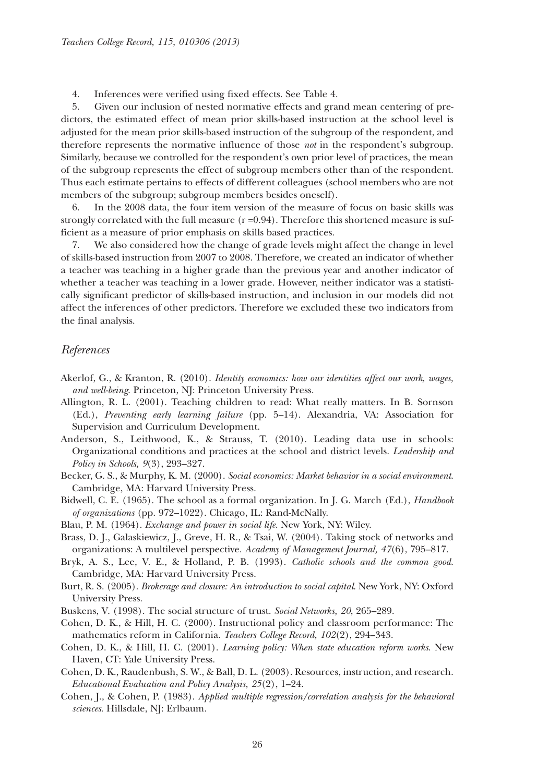4. Inferences were verified using fixed effects. See Table 4.

5. Given our inclusion of nested normative effects and grand mean centering of predictors, the estimated effect of mean prior skills-based instruction at the school level is adjusted for the mean prior skills-based instruction of the subgroup of the respondent, and therefore represents the normative influence of those *not* in the respondent's subgroup. Similarly, because we controlled for the respondent's own prior level of practices, the mean of the subgroup represents the effect of subgroup members other than of the respondent. Thus each estimate pertains to effects of different colleagues (school members who are not members of the subgroup; subgroup members besides oneself).

6. In the 2008 data, the four item version of the measure of focus on basic skills was strongly correlated with the full measure  $(r=0.94)$ . Therefore this shortened measure is sufficient as a measure of prior emphasis on skills based practices.

7. We also considered how the change of grade levels might affect the change in level of skills-based instruction from 2007 to 2008. Therefore, we created an indicator of whether a teacher was teaching in a higher grade than the previous year and another indicator of whether a teacher was teaching in a lower grade. However, neither indicator was a statistically significant predictor of skills-based instruction, and inclusion in our models did not affect the inferences of other predictors. Therefore we excluded these two indicators from the final analysis.

#### *References*

- Akerlof, G., & Kranton, R. (2010). *Identity economics: how our identities affect our work, wages, and well-being*. Princeton, NJ: Princeton University Press.
- Allington, R. L. (2001). Teaching children to read: What really matters. In B. Sornson (Ed.), *Preventing early learning failure* (pp. 5–14). Alexandria, VA: Association for Supervision and Curriculum Development.
- Anderson, S., Leithwood, K., & Strauss, T. (2010). Leading data use in schools: Organizational conditions and practices at the school and district levels. *Leadership and Policy in Schools, 9*(3), 293–327.
- Becker, G. S., & Murphy, K. M. (2000). *Social economics: Market behavior in a social environment*. Cambridge, MA: Harvard University Press.
- Bidwell, C. E. (1965). The school as a formal organization. In J. G. March (Ed.), *Handbook of organizations* (pp. 972–1022). Chicago, IL: Rand-McNally.

Blau, P. M. (1964). *Exchange and power in social life.* New York, NY: Wiley.

- Brass, D. J., Galaskiewicz, J., Greve, H. R., & Tsai, W. (2004). Taking stock of networks and organizations: A multilevel perspective. *Academy of Management Journal, 47*(6), 795–817.
- Bryk, A. S., Lee, V. E., & Holland, P. B. (1993). *Catholic schools and the common good*. Cambridge, MA: Harvard University Press.
- Burt, R. S. (2005). *Brokerage and closure: An introduction to social capital*. New York, NY: Oxford University Press.
- Buskens, V. (1998). The social structure of trust. *Social Networks, 20*, 265–289.
- Cohen, D. K., & Hill, H. C. (2000). Instructional policy and classroom performance: The mathematics reform in California. *Teachers College Record, 102*(2), 294–343.
- Cohen, D. K., & Hill, H. C. (2001). *Learning policy: When state education reform works*. New Haven, CT: Yale University Press.
- Cohen, D. K., Raudenbush, S. W., & Ball, D. L. (2003). Resources, instruction, and research. *Educational Evaluation and Policy Analysis, 25*(2), 1–24.
- Cohen, J., & Cohen, P. (1983). *Applied multiple regression/correlation analysis for the behavioral sciences*. Hillsdale, NJ: Erlbaum.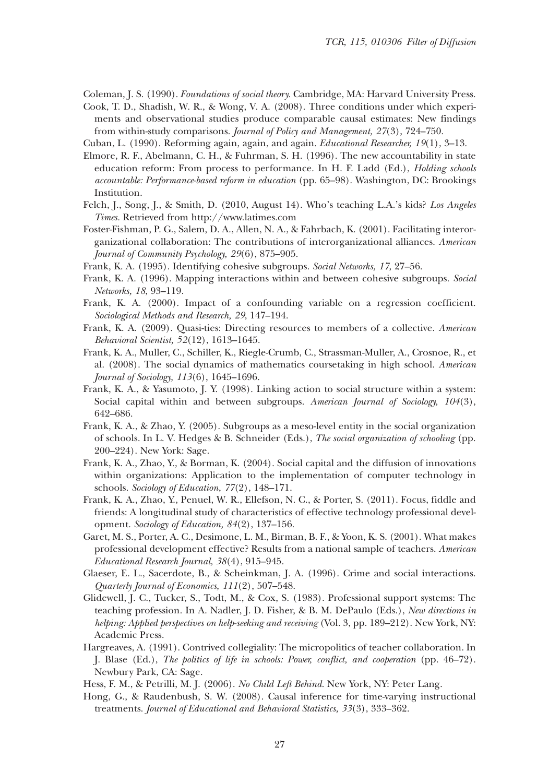Coleman, J. S. (1990). *Foundations of social theory.* Cambridge, MA: Harvard University Press.

- Cook, T. D., Shadish, W. R., & Wong, V. A. (2008). Three conditions under which experiments and observational studies produce comparable causal estimates: New findings from within-study comparisons. *Journal of Policy and Management, 27*(3), 724–750.
- Cuban, L. (1990). Reforming again, again, and again. *Educational Researcher, 19*(1), 3–13.
- Elmore, R. F., Abelmann, C. H., & Fuhrman, S. H. (1996). The new accountability in state education reform: From process to performance. In H. F. Ladd (Ed.), *Holding schools accountable: Performance-based reform in education* (pp. 65–98). Washington, DC: Brookings Institution.
- Felch, J., Song, J., & Smith, D. (2010, August 14). Who's teaching L.A.'s kids? *Los Angeles Times.* Retrieved from http://www.latimes.com
- Foster-Fishman, P. G., Salem, D. A., Allen, N. A., & Fahrbach, K. (2001). Facilitating interorganizational collaboration: The contributions of interorganizational alliances. *American Journal of Community Psychology, 29*(6), 875–905.
- Frank, K. A. (1995). Identifying cohesive subgroups. *Social Networks, 17*, 27–56.
- Frank, K. A. (1996). Mapping interactions within and between cohesive subgroups. *Social Networks, 18*, 93–119.
- Frank, K. A. (2000). Impact of a confounding variable on a regression coefficient. *Sociological Methods and Research, 29*, 147–194.
- Frank, K. A. (2009). Quasi-ties: Directing resources to members of a collective. *American Behavioral Scientist, 52*(12), 1613–1645.
- Frank, K. A., Muller, C., Schiller, K., Riegle-Crumb, C., Strassman-Muller, A., Crosnoe, R., et al. (2008). The social dynamics of mathematics coursetaking in high school. *American Journal of Sociology, 113*(6), 1645–1696.
- Frank, K. A., & Yasumoto, J. Y. (1998). Linking action to social structure within a system: Social capital within and between subgroups. *American Journal of Sociology, 104*(3), 642–686.
- Frank, K. A., & Zhao, Y. (2005). Subgroups as a meso-level entity in the social organization of schools. In L. V. Hedges & B. Schneider (Eds.), *The social organization of schooling* (pp. 200–224). New York: Sage.
- Frank, K. A., Zhao, Y., & Borman, K. (2004). Social capital and the diffusion of innovations within organizations: Application to the implementation of computer technology in schools. *Sociology of Education, 77*(2), 148–171.
- Frank, K. A., Zhao, Y., Penuel, W. R., Ellefson, N. C., & Porter, S. (2011). Focus, fiddle and friends: A longitudinal study of characteristics of effective technology professional development. *Sociology of Education, 84*(2), 137–156.
- Garet, M. S., Porter, A. C., Desimone, L. M., Birman, B. F., & Yoon, K. S. (2001). What makes professional development effective? Results from a national sample of teachers. *American Educational Research Journal, 38*(4), 915–945.
- Glaeser, E. L., Sacerdote, B., & Scheinkman, J. A. (1996). Crime and social interactions. *Quarterly Journal of Economics, 111*(2), 507–548.
- Glidewell, J. C., Tucker, S., Todt, M., & Cox, S. (1983). Professional support systems: The teaching profession. In A. Nadler, J. D. Fisher, & B. M. DePaulo (Eds.), *New directions in helping: Applied perspectives on help-seeking and receiving* (Vol. 3, pp. 189–212). New York, NY: Academic Press.
- Hargreaves, A. (1991). Contrived collegiality: The micropolitics of teacher collaboration. In J. Blase (Ed.), *The politics of life in schools: Power, conflict, and cooperation* (pp. 46–72). Newbury Park, CA: Sage.
- Hess, F. M., & Petrilli, M. J. (2006). *No Child Left Behind*. New York, NY: Peter Lang.
- Hong, G., & Raudenbush, S. W. (2008). Causal inference for time-varying instructional treatments. *Journal of Educational and Behavioral Statistics, 33*(3), 333–362.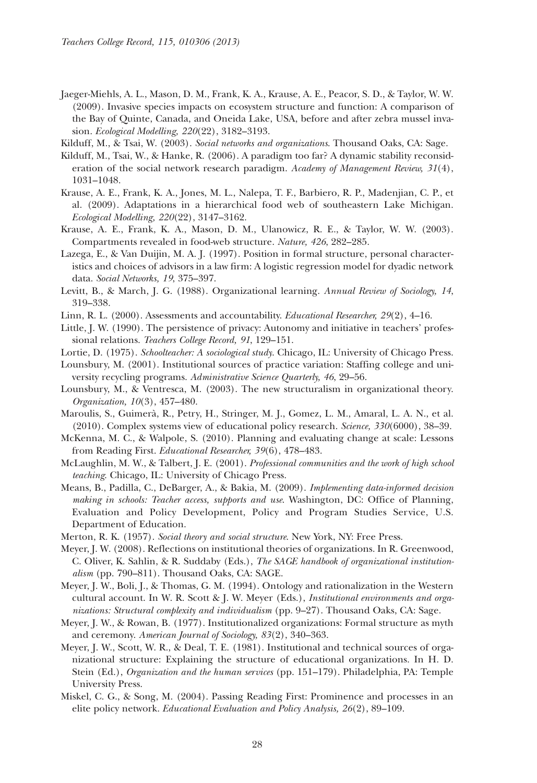- Jaeger-Miehls, A. L., Mason, D. M., Frank, K. A., Krause, A. E., Peacor, S. D., & Taylor, W. W. (2009). Invasive species impacts on ecosystem structure and function: A comparison of the Bay of Quinte, Canada, and Oneida Lake, USA, before and after zebra mussel invasion. *Ecological Modelling, 220*(22), 3182–3193.
- Kilduff, M., & Tsai, W. (2003). *Social networks and organizations*. Thousand Oaks, CA: Sage.
- Kilduff, M., Tsai, W., & Hanke, R. (2006). A paradigm too far? A dynamic stability reconsideration of the social network research paradigm. *Academy of Management Review, 31*(4), 1031–1048.
- Krause, A. E., Frank, K. A., Jones, M. L., Nalepa, T. F., Barbiero, R. P., Madenjian, C. P., et al. (2009). Adaptations in a hierarchical food web of southeastern Lake Michigan. *Ecological Modelling, 220*(22), 3147–3162.
- Krause, A. E., Frank, K. A., Mason, D. M., Ulanowicz, R. E., & Taylor, W. W. (2003). Compartments revealed in food-web structure. *Nature, 426*, 282–285.
- Lazega, E., & Van Duijin, M. A. J. (1997). Position in formal structure, personal characteristics and choices of advisors in a law firm: A logistic regression model for dyadic network data. *Social Networks, 19*, 375–397.
- Levitt, B., & March, J. G. (1988). Organizational learning. *Annual Review of Sociology, 14*, 319–338.
- Linn, R. L. (2000). Assessments and accountability. *Educational Researcher, 29*(2), 4–16.
- Little, J. W. (1990). The persistence of privacy: Autonomy and initiative in teachers' professional relations. *Teachers College Record, 91*, 129–151.
- Lortie, D. (1975). *Schoolteacher: A sociological study*. Chicago, IL: University of Chicago Press.
- Lounsbury, M. (2001). Institutional sources of practice variation: Staffing college and university recycling programs. *Administrative Science Quarterly, 46*, 29–56.
- Lounsbury, M., & Ventresca, M. (2003). The new structuralism in organizational theory. *Organization, 10*(3), 457–480.
- Maroulis, S., Guimerà, R., Petry, H., Stringer, M. J., Gomez, L. M., Amaral, L. A. N., et al. (2010). Complex systems view of educational policy research. *Science, 330*(6000), 38–39.
- McKenna, M. C., & Walpole, S. (2010). Planning and evaluating change at scale: Lessons from Reading First. *Educational Researcher, 39*(6), 478–483.
- McLaughlin, M. W., & Talbert, J. E. (2001). *Professional communities and the work of high school teaching*. Chicago, IL: University of Chicago Press.
- Means, B., Padilla, C., DeBarger, A., & Bakia, M. (2009). *Implementing data-informed decision making in schools: Teacher access, supports and use*. Washington, DC: Office of Planning, Evaluation and Policy Development, Policy and Program Studies Service, U.S. Department of Education.
- Merton, R. K. (1957). *Social theory and social structure*. New York, NY: Free Press.
- Meyer, J. W. (2008). Reflections on institutional theories of organizations. In R. Greenwood, C. Oliver, K. Sahlin, & R. Suddaby (Eds.), *The SAGE handbook of organizational institutionalism* (pp. 790–811). Thousand Oaks, CA: SAGE.
- Meyer, J. W., Boli, J., & Thomas, G. M. (1994). Ontology and rationalization in the Western cultural account. In W. R. Scott & J. W. Meyer (Eds.), *Institutional environments and organizations: Structural complexity and individualism* (pp. 9–27). Thousand Oaks, CA: Sage.
- Meyer, J. W., & Rowan, B. (1977). Institutionalized organizations: Formal structure as myth and ceremony. *American Journal of Sociology, 83*(2), 340–363.
- Meyer, J. W., Scott, W. R., & Deal, T. E. (1981). Institutional and technical sources of organizational structure: Explaining the structure of educational organizations. In H. D. Stein (Ed.), *Organization and the human services* (pp. 151–179). Philadelphia, PA: Temple University Press.
- Miskel, C. G., & Song, M. (2004). Passing Reading First: Prominence and processes in an elite policy network. *Educational Evaluation and Policy Analysis, 26*(2), 89–109.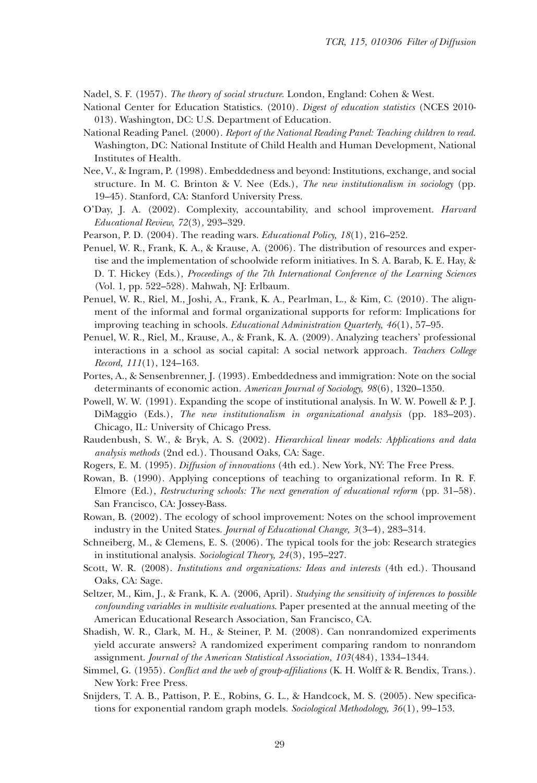Nadel, S. F. (1957). *The theory of social structure*. London, England: Cohen & West.

- National Center for Education Statistics. (2010). *Digest of education statistics* (NCES 2010- 013). Washington, DC: U.S. Department of Education.
- National Reading Panel. (2000). *Report of the National Reading Panel: Teaching children to read*. Washington, DC: National Institute of Child Health and Human Development, National Institutes of Health.
- Nee, V., & Ingram, P. (1998). Embeddedness and beyond: Institutions, exchange, and social structure. In M. C. Brinton & V. Nee (Eds.), *The new institutionalism in sociology* (pp. 19–45). Stanford, CA: Stanford University Press.
- O'Day, J. A. (2002). Complexity, accountability, and school improvement. *Harvard Educational Review*, *72*(3), 293–329.
- Pearson, P. D. (2004). The reading wars. *Educational Policy, 18*(1), 216–252.
- Penuel, W. R., Frank, K. A., & Krause, A. (2006). The distribution of resources and expertise and the implementation of schoolwide reform initiatives. In S. A. Barab, K. E. Hay, & D. T. Hickey (Eds.), *Proceedings of the 7th International Conference of the Learning Sciences* (Vol. 1, pp. 522–528). Mahwah, NJ: Erlbaum.
- Penuel, W. R., Riel, M., Joshi, A., Frank, K. A., Pearlman, L., & Kim, C. (2010). The alignment of the informal and formal organizational supports for reform: Implications for improving teaching in schools. *Educational Administration Quarterly, 46*(1), 57–95.
- Penuel, W. R., Riel, M., Krause, A., & Frank, K. A. (2009). Analyzing teachers' professional interactions in a school as social capital: A social network approach. *Teachers College Record, 111*(1), 124–163.
- Portes, A., & Sensenbrenner, J. (1993). Embeddedness and immigration: Note on the social determinants of economic action. *American Journal of Sociology, 98*(6), 1320–1350.
- Powell, W. W. (1991). Expanding the scope of institutional analysis. In W. W. Powell & P. J. DiMaggio (Eds.), *The new institutionalism in organizational analysis* (pp. 183–203). Chicago, IL: University of Chicago Press.
- Raudenbush, S. W., & Bryk, A. S. (2002). *Hierarchical linear models: Applications and data analysis methods* (2nd ed.). Thousand Oaks, CA: Sage.
- Rogers, E. M. (1995). *Diffusion of innovations* (4th ed.). New York, NY: The Free Press.
- Rowan, B. (1990). Applying conceptions of teaching to organizational reform. In R. F. Elmore (Ed.), *Restructuring schools: The next generation of educational reform* (pp. 31–58). San Francisco, CA: Jossey-Bass.
- Rowan, B. (2002). The ecology of school improvement: Notes on the school improvement industry in the United States. *Journal of Educational Change, 3*(3–4), 283–314.
- Schneiberg, M., & Clemens, E. S. (2006). The typical tools for the job: Research strategies in institutional analysis. *Sociological Theory, 24*(3), 195–227.
- Scott, W. R. (2008). *Institutions and organizations: Ideas and interests* (4th ed.). Thousand Oaks, CA: Sage.
- Seltzer, M., Kim, J., & Frank, K. A. (2006, April). *Studying the sensitivity of inferences to possible confounding variables in multisite evaluations*. Paper presented at the annual meeting of the American Educational Research Association, San Francisco, CA.
- Shadish, W. R., Clark, M. H., & Steiner, P. M. (2008). Can nonrandomized experiments yield accurate answers? A randomized experiment comparing random to nonrandom assignment. *Journal of the American Statistical Association, 103*(484), 1334–1344.
- Simmel, G. (1955). *Conflict and the web of group-affiliations* (K. H. Wolff & R. Bendix, Trans.). New York: Free Press.
- Snijders, T. A. B., Pattison, P. E., Robins, G. L., & Handcock, M. S. (2005). New specifications for exponential random graph models. *Sociological Methodology, 36*(1), 99–153.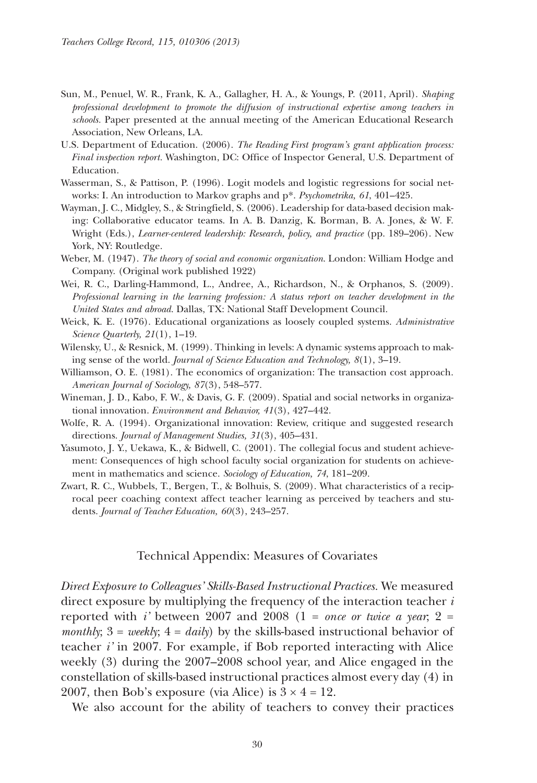- Sun, M., Penuel, W. R., Frank, K. A., Gallagher, H. A., & Youngs, P. (2011, April). *Shaping professional development to promote the diffusion of instructional expertise among teachers in schools.* Paper presented at the annual meeting of the American Educational Research Association, New Orleans, LA.
- U.S. Department of Education. (2006). *The Reading First program's grant application process: Final inspection report.* Washington, DC: Office of Inspector General, U.S. Department of Education.
- Wasserman, S., & Pattison, P. (1996). Logit models and logistic regressions for social networks: I. An introduction to Markov graphs and p\*. *Psychometrika, 61*, 401–425.
- Wayman, J. C., Midgley, S., & Stringfield, S. (2006). Leadership for data-based decision making: Collaborative educator teams. In A. B. Danzig, K. Borman, B. A. Jones, & W. F. Wright (Eds.), *Learner-centered leadership: Research, policy, and practice* (pp. 189–206). New York, NY: Routledge.
- Weber, M. (1947). *The theory of social and economic organization*. London: William Hodge and Company. (Original work published 1922)
- Wei, R. C., Darling-Hammond, L., Andree, A., Richardson, N., & Orphanos, S. (2009). *Professional learning in the learning profession: A status report on teacher development in the United States and abroad*. Dallas, TX: National Staff Development Council.
- Weick, K. E. (1976). Educational organizations as loosely coupled systems. *Administrative Science Quarterly, 21*(1), 1–19.
- Wilensky, U., & Resnick, M. (1999). Thinking in levels: A dynamic systems approach to making sense of the world. *Journal of Science Education and Technology, 8*(1), 3–19.
- Williamson, O. E. (1981). The economics of organization: The transaction cost approach. *American Journal of Sociology, 87*(3), 548–577.
- Wineman, J. D., Kabo, F. W., & Davis, G. F. (2009). Spatial and social networks in organizational innovation. *Environment and Behavior, 41*(3), 427–442.
- Wolfe, R. A. (1994). Organizational innovation: Review, critique and suggested research directions. *Journal of Management Studies, 31*(3), 405–431.
- Yasumoto, J. Y., Uekawa, K., & Bidwell, C. (2001). The collegial focus and student achievement: Consequences of high school faculty social organization for students on achievement in mathematics and science. *Sociology of Education, 74*, 181–209.
- Zwart, R. C., Wubbels, T., Bergen, T., & Bolhuis, S. (2009). What characteristics of a reciprocal peer coaching context affect teacher learning as perceived by teachers and students. *Journal of Teacher Education, 60*(3), 243–257.

#### Technical Appendix: Measures of Covariates

*Direct Exposure to Colleagues' Skills-Based Instructional Practices.* We measured direct exposure by multiplying the frequency of the interaction teacher *i* reported with *i*' between 2007 and 2008 (1 = *once or twice a year*; 2 = *monthly*; 3 = *weekly*; 4 = *daily*) by the skills-based instructional behavior of teacher *i'* in 2007. For example, if Bob reported interacting with Alice weekly (3) during the 2007–2008 school year, and Alice engaged in the constellation of skills-based instructional practices almost every day (4) in 2007, then Bob's exposure (via Alice) is  $3 \times 4 = 12$ .

We also account for the ability of teachers to convey their practices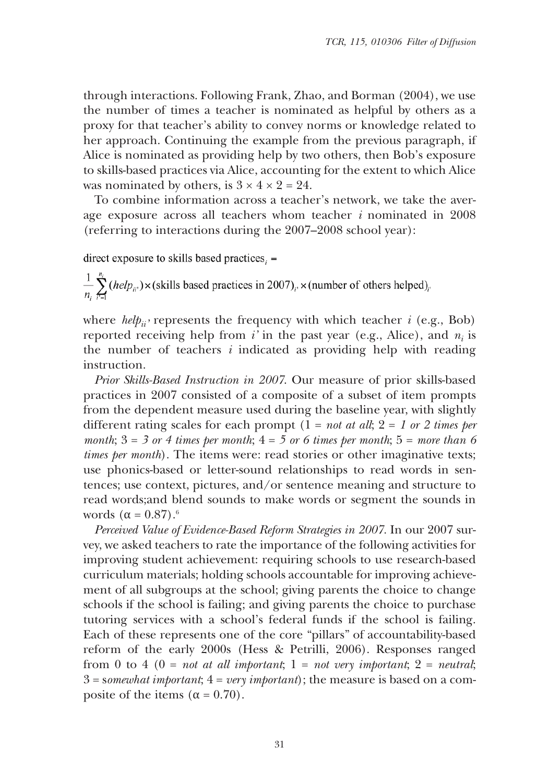through interactions. Following Frank, Zhao, and Borman (2004), we use the number of times a teacher is nominated as helpful by others as a proxy for that teacher's ability to convey norms or knowledge related to her approach. Continuing the example from the previous paragraph, if Alice is nominated as providing help by two others, then Bob's exposure to skills-based practices via Alice, accounting for the extent to which Alice was nominated by others, is  $3 \times 4 \times 2 = 24$ .

To combine information across a teacher's network, we take the average exposure across all teachers whom teacher *i* nominated in 2008 (referring to interactions during the 2007–2008 school year):

direct exposure to skills based practices,  $=$ 

 $\frac{1}{n} \sum_{n=1}^{\infty} (help_{ii}) \times (s$ kills based practices in 2007)<sub>i</sub>,  $\times$  (number of others helped)<sub>i</sub>

where  $\text{help}_{ii}$  represents the frequency with which teacher *i* (e.g., Bob) reported receiving help from  $i'$  in the past year (e.g., Alice), and  $n_i$  is the number of teachers *i* indicated as providing help with reading instruction.

*Prior Skills-Based Instruction in 2007*. Our measure of prior skills-based practices in 2007 consisted of a composite of a subset of item prompts from the dependent measure used during the baseline year, with slightly different rating scales for each prompt  $(1 = not at all; 2 = 1 or 2 times per$ *month*;  $3 = 3$  *or*  $4$  *times per month*;  $4 = 5$  *or*  $6$  *times per month*;  $5 =$  *more than*  $6$ *times per month*). The items were: read stories or other imaginative texts; use phonics-based or letter-sound relationships to read words in sentences; use context, pictures, and/or sentence meaning and structure to read words;and blend sounds to make words or segment the sounds in words  $(\alpha = 0.87).$ <sup>6</sup>

*Perceived Value of Evidence-Based Reform Strategies in 2007.* In our 2007 survey, we asked teachers to rate the importance of the following activities for improving student achievement: requiring schools to use research-based curriculum materials; holding schools accountable for improving achievement of all subgroups at the school; giving parents the choice to change schools if the school is failing; and giving parents the choice to purchase tutoring services with a school's federal funds if the school is failing. Each of these represents one of the core "pillars" of accountability-based reform of the early 2000s (Hess & Petrilli, 2006). Responses ranged from 0 to 4 (0 = *not at all important*; 1 = *not very important*; 2 = *neutral*; 3 = s*omewhat important*; 4 = *very important*); the measure is based on a composite of the items  $(\alpha = 0.70)$ .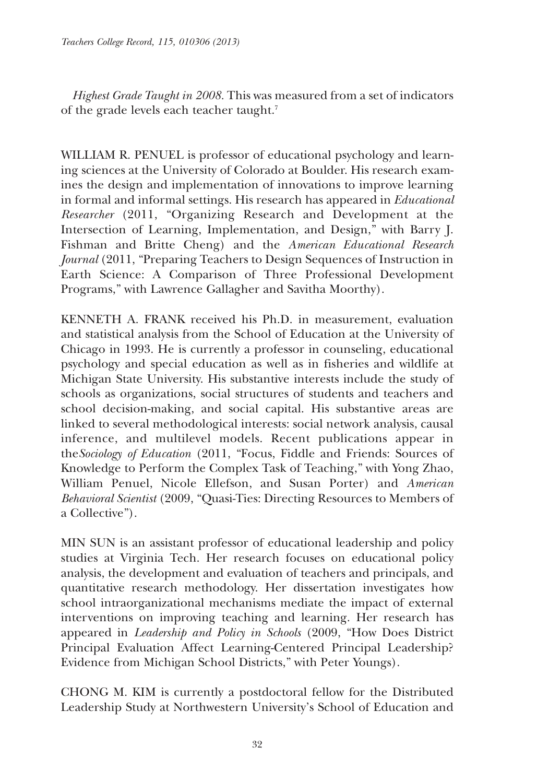*Highest Grade Taught in 2008.* This was measured from a set of indicators of the grade levels each teacher taught.<sup>7</sup>

WILLIAM R. PENUEL is professor of educational psychology and learning sciences at the University of Colorado at Boulder. His research examines the design and implementation of innovations to improve learning in formal and informal settings. His research has appeared in *Educational Researcher* (2011, "Organizing Research and Development at the Intersection of Learning, Implementation, and Design," with Barry J. Fishman and Britte Cheng) and the *American Educational Research Journal* (2011, "Preparing Teachers to Design Sequences of Instruction in Earth Science: A Comparison of Three Professional Development Programs," with Lawrence Gallagher and Savitha Moorthy).

KENNETH A. FRANK received his Ph.D. in measurement, evaluation and statistical analysis from the School of Education at the University of Chicago in 1993. He is currently a professor in counseling, educational psychology and special education as well as in fisheries and wildlife at Michigan State University. His substantive interests include the study of schools as organizations, social structures of students and teachers and school decision-making, and social capital. His substantive areas are linked to several methodological interests: social network analysis, causal inference, and multilevel models. Recent publications appear in the*Sociology of Education* (2011, "Focus, Fiddle and Friends: Sources of Knowledge to Perform the Complex Task of Teaching," with Yong Zhao, William Penuel, Nicole Ellefson, and Susan Porter) and *American Behavioral Scientist* (2009, "Quasi-Ties: Directing Resources to Members of a Collective").

MIN SUN is an assistant professor of educational leadership and policy studies at Virginia Tech. Her research focuses on educational policy analysis, the development and evaluation of teachers and principals, and quantitative research methodology. Her dissertation investigates how school intraorganizational mechanisms mediate the impact of external interventions on improving teaching and learning. Her research has appeared in *Leadership and Policy in Schools* (2009, "How Does District Principal Evaluation Affect Learning-Centered Principal Leadership? Evidence from Michigan School Districts," with Peter Youngs).

CHONG M. KIM is currently a postdoctoral fellow for the Distributed Leadership Study at Northwestern University's School of Education and